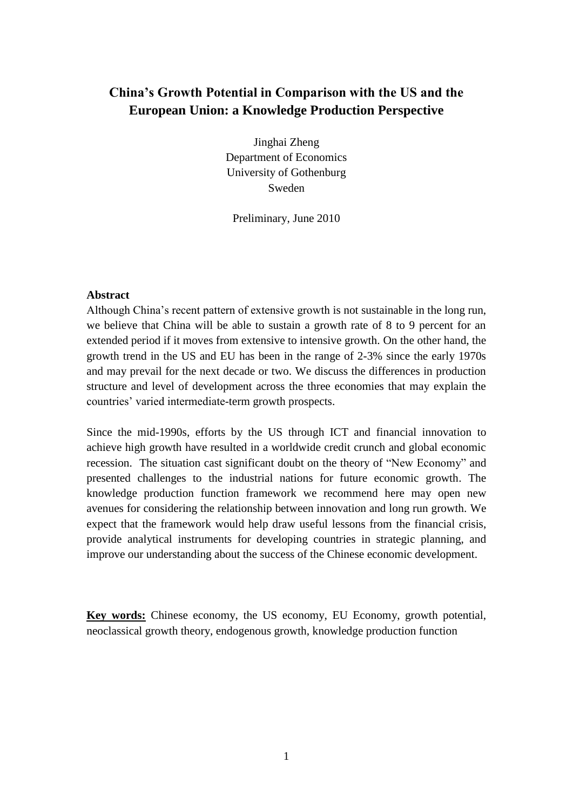# **China's Growth Potential in Comparison with the US and the European Union: a Knowledge Production Perspective**

Jinghai Zheng Department of Economics University of Gothenburg Sweden

Preliminary, June 2010

# **Abstract**

Although China's recent pattern of extensive growth is not sustainable in the long run, we believe that China will be able to sustain a growth rate of 8 to 9 percent for an extended period if it moves from extensive to intensive growth. On the other hand, the growth trend in the US and EU has been in the range of 2-3% since the early 1970s and may prevail for the next decade or two. We discuss the differences in production structure and level of development across the three economies that may explain the countries' varied intermediate-term growth prospects.

Since the mid-1990s, efforts by the US through ICT and financial innovation to achieve high growth have resulted in a worldwide credit crunch and global economic recession. The situation cast significant doubt on the theory of "New Economy" and presented challenges to the industrial nations for future economic growth. The knowledge production function framework we recommend here may open new avenues for considering the relationship between innovation and long run growth. We expect that the framework would help draw useful lessons from the financial crisis, provide analytical instruments for developing countries in strategic planning, and improve our understanding about the success of the Chinese economic development.

**Key words:** Chinese economy, the US economy, EU Economy, growth potential, neoclassical growth theory, endogenous growth, knowledge production function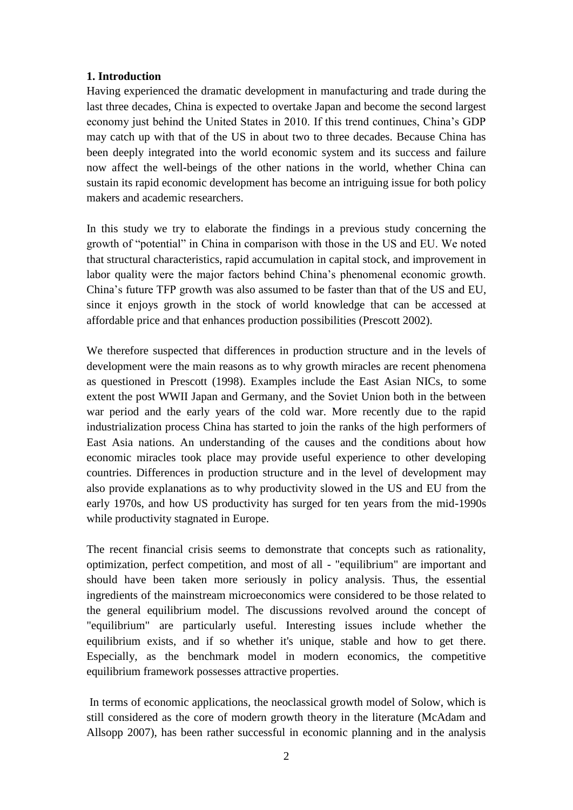# **1. Introduction**

Having experienced the dramatic development in manufacturing and trade during the last three decades, China is expected to overtake Japan and become the second largest economy just behind the United States in 2010. If this trend continues, China's GDP may catch up with that of the US in about two to three decades. Because China has been deeply integrated into the world economic system and its success and failure now affect the well-beings of the other nations in the world, whether China can sustain its rapid economic development has become an intriguing issue for both policy makers and academic researchers.

In this study we try to elaborate the findings in a previous study concerning the growth of "potential" in China in comparison with those in the US and EU. We noted that structural characteristics, rapid accumulation in capital stock, and improvement in labor quality were the major factors behind China's phenomenal economic growth. China's future TFP growth was also assumed to be faster than that of the US and EU, since it enjoys growth in the stock of world knowledge that can be accessed at affordable price and that enhances production possibilities (Prescott 2002).

We therefore suspected that differences in production structure and in the levels of development were the main reasons as to why growth miracles are recent phenomena as questioned in Prescott (1998). Examples include the East Asian NICs, to some extent the post WWII Japan and Germany, and the Soviet Union both in the between war period and the early years of the cold war. More recently due to the rapid industrialization process China has started to join the ranks of the high performers of East Asia nations. An understanding of the causes and the conditions about how economic miracles took place may provide useful experience to other developing countries. Differences in production structure and in the level of development may also provide explanations as to why productivity slowed in the US and EU from the early 1970s, and how US productivity has surged for ten years from the mid-1990s while productivity stagnated in Europe.

The recent financial crisis seems to demonstrate that concepts such as rationality, optimization, perfect competition, and most of all - "equilibrium" are important and should have been taken more seriously in policy analysis. Thus, the essential ingredients of the mainstream microeconomics were considered to be those related to the general equilibrium model. The discussions revolved around the concept of "equilibrium" are particularly useful. Interesting issues include whether the equilibrium exists, and if so whether it's unique, stable and how to get there. Especially, as the benchmark model in modern economics, the competitive equilibrium framework possesses attractive properties.

In terms of economic applications, the neoclassical growth model of Solow, which is still considered as the core of modern growth theory in the literature (McAdam and Allsopp 2007), has been rather successful in economic planning and in the analysis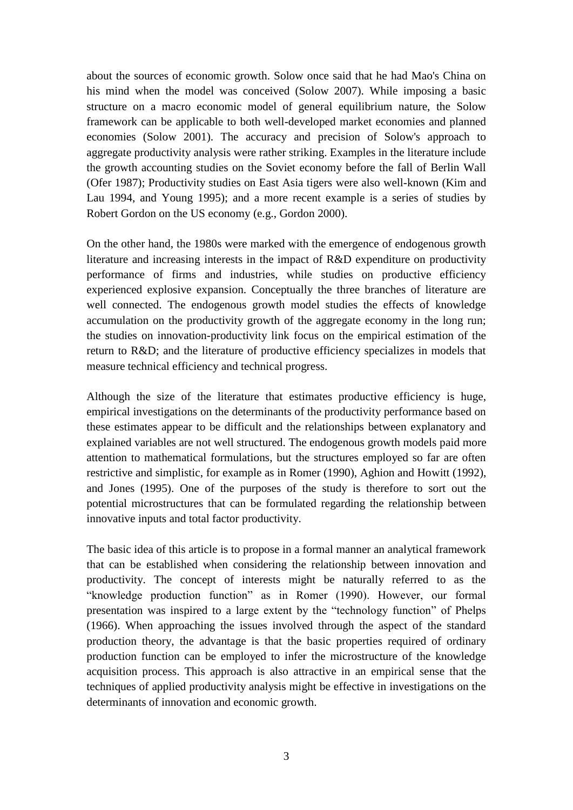about the sources of economic growth. Solow once said that he had Mao's China on his mind when the model was conceived (Solow 2007). While imposing a basic structure on a macro economic model of general equilibrium nature, the Solow framework can be applicable to both well-developed market economies and planned economies (Solow 2001). The accuracy and precision of Solow's approach to aggregate productivity analysis were rather striking. Examples in the literature include the growth accounting studies on the Soviet economy before the fall of Berlin Wall (Ofer 1987); Productivity studies on East Asia tigers were also well-known (Kim and Lau 1994, and Young 1995); and a more recent example is a series of studies by Robert Gordon on the US economy (e.g., Gordon 2000).

On the other hand, the 1980s were marked with the emergence of endogenous growth literature and increasing interests in the impact of R&D expenditure on productivity performance of firms and industries, while studies on productive efficiency experienced explosive expansion. Conceptually the three branches of literature are well connected. The endogenous growth model studies the effects of knowledge accumulation on the productivity growth of the aggregate economy in the long run; the studies on innovation-productivity link focus on the empirical estimation of the return to R&D; and the literature of productive efficiency specializes in models that measure technical efficiency and technical progress.

Although the size of the literature that estimates productive efficiency is huge, empirical investigations on the determinants of the productivity performance based on these estimates appear to be difficult and the relationships between explanatory and explained variables are not well structured. The endogenous growth models paid more attention to mathematical formulations, but the structures employed so far are often restrictive and simplistic, for example as in Romer (1990), Aghion and Howitt (1992), and Jones (1995). One of the purposes of the study is therefore to sort out the potential microstructures that can be formulated regarding the relationship between innovative inputs and total factor productivity.

The basic idea of this article is to propose in a formal manner an analytical framework that can be established when considering the relationship between innovation and productivity. The concept of interests might be naturally referred to as the "knowledge production function" as in Romer (1990). However, our formal presentation was inspired to a large extent by the "technology function" of Phelps (1966). When approaching the issues involved through the aspect of the standard production theory, the advantage is that the basic properties required of ordinary production function can be employed to infer the microstructure of the knowledge acquisition process. This approach is also attractive in an empirical sense that the techniques of applied productivity analysis might be effective in investigations on the determinants of innovation and economic growth.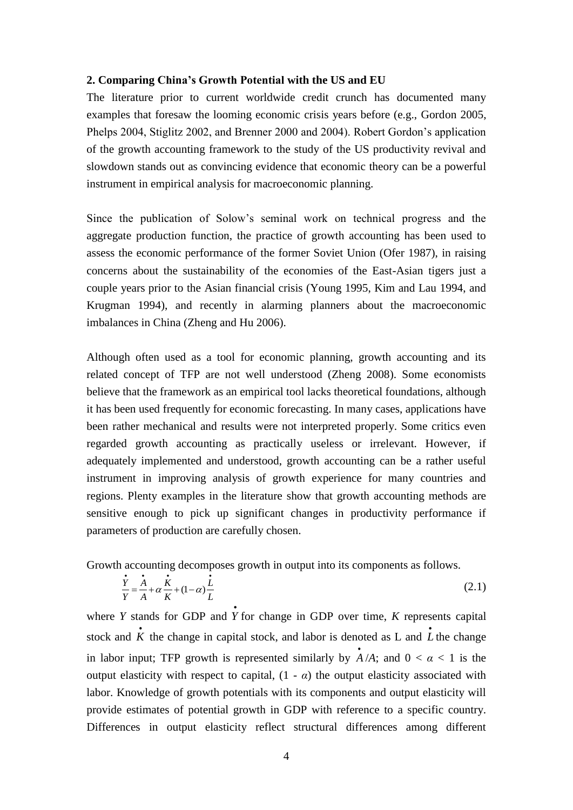### **2. Comparing China's Growth Potential with the US and EU**

The literature prior to current worldwide credit crunch has documented many examples that foresaw the looming economic crisis years before (e.g., Gordon 2005, Phelps 2004, Stiglitz 2002, and Brenner 2000 and 2004). Robert Gordon's application of the growth accounting framework to the study of the US productivity revival and slowdown stands out as convincing evidence that economic theory can be a powerful instrument in empirical analysis for macroeconomic planning.

Since the publication of Solow's seminal work on technical progress and the aggregate production function, the practice of growth accounting has been used to assess the economic performance of the former Soviet Union (Ofer 1987), in raising concerns about the sustainability of the economies of the East-Asian tigers just a couple years prior to the Asian financial crisis (Young 1995, Kim and Lau 1994, and Krugman 1994), and recently in alarming planners about the macroeconomic imbalances in China (Zheng and Hu 2006).

Although often used as a tool for economic planning, growth accounting and its related concept of TFP are not well understood (Zheng 2008). Some economists believe that the framework as an empirical tool lacks theoretical foundations, although it has been used frequently for economic forecasting. In many cases, applications have been rather mechanical and results were not interpreted properly. Some critics even regarded growth accounting as practically useless or irrelevant. However, if adequately implemented and understood, growth accounting can be a rather useful instrument in improving analysis of growth experience for many countries and regions. Plenty examples in the literature show that growth accounting methods are sensitive enough to pick up significant changes in productivity performance if parameters of production are carefully chosen.

Growth accounting decomposes growth in output into its components as follows.

$$
\frac{\dot{Y}}{Y} = \frac{\dot{A}}{A} + \alpha \frac{\dot{K}}{K} + (1 - \alpha) \frac{\dot{L}}{L}
$$
\n(2.1)

where *Y* stands for GDP and  $\dot{Y}$  for change in GDP over time, *K* represents capital stock and  $\dot{K}$  the change in capital stock, and labor is denoted as L and  $\dot{L}$  the change in labor input; TFP growth is represented similarly by  $\vec{A}/A$ ; and  $0 < \alpha < 1$  is the output elasticity with respect to capital,  $(1 - \alpha)$  the output elasticity associated with labor. Knowledge of growth potentials with its components and output elasticity will provide estimates of potential growth in GDP with reference to a specific country. Differences in output elasticity reflect structural differences among different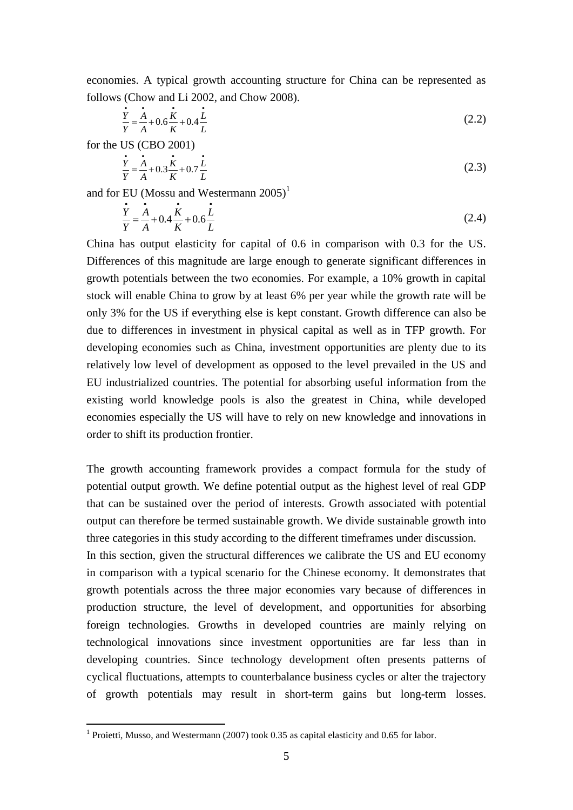economies. A typical growth accounting structure for China can be represented as follows (Chow and Li 2002, and Chow 2008).

$$
\frac{\dot{Y}}{Y} = \frac{\dot{A}}{A} + 0.6\frac{\dot{K}}{K} + 0.4\frac{\dot{L}}{L}
$$
\n(2.2)

for the US (CBO 2001)

1

$$
\frac{\dot{Y}}{Y} = \frac{\dot{A}}{A} + 0.3\frac{\dot{K}}{K} + 0.7\frac{\dot{L}}{L}
$$
\n(2.3)

and for EU (Mossu and Westermann  $2005$ )<sup>1</sup>

$$
\frac{\dot{Y}}{Y} = \frac{\dot{A}}{A} + 0.4 \frac{\dot{K}}{K} + 0.6 \frac{\dot{L}}{L}
$$
\n(2.4)

China has output elasticity for capital of 0.6 in comparison with 0.3 for the US. Differences of this magnitude are large enough to generate significant differences in growth potentials between the two economies. For example, a 10% growth in capital stock will enable China to grow by at least 6% per year while the growth rate will be only 3% for the US if everything else is kept constant. Growth difference can also be due to differences in investment in physical capital as well as in TFP growth. For developing economies such as China, investment opportunities are plenty due to its relatively low level of development as opposed to the level prevailed in the US and EU industrialized countries. The potential for absorbing useful information from the existing world knowledge pools is also the greatest in China, while developed economies especially the US will have to rely on new knowledge and innovations in order to shift its production frontier.

The growth accounting framework provides a compact formula for the study of potential output growth. We define potential output as the highest level of real GDP that can be sustained over the period of interests. Growth associated with potential output can therefore be termed sustainable growth. We divide sustainable growth into three categories in this study according to the different timeframes under discussion.

In this section, given the structural differences we calibrate the US and EU economy in comparison with a typical scenario for the Chinese economy. It demonstrates that growth potentials across the three major economies vary because of differences in production structure, the level of development, and opportunities for absorbing foreign technologies. Growths in developed countries are mainly relying on technological innovations since investment opportunities are far less than in developing countries. Since technology development often presents patterns of cyclical fluctuations, attempts to counterbalance business cycles or alter the trajectory of growth potentials may result in short-term gains but long-term losses.

<sup>&</sup>lt;sup>1</sup> Proietti, Musso, and Westermann (2007) took 0.35 as capital elasticity and 0.65 for labor.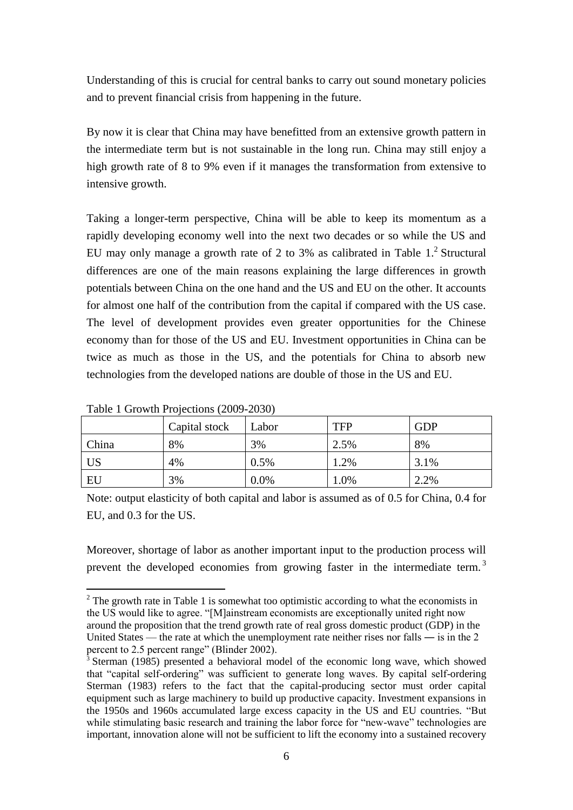Understanding of this is crucial for central banks to carry out sound monetary policies and to prevent financial crisis from happening in the future.

By now it is clear that China may have benefitted from an extensive growth pattern in the intermediate term but is not sustainable in the long run. China may still enjoy a high growth rate of 8 to 9% even if it manages the transformation from extensive to intensive growth.

Taking a longer-term perspective, China will be able to keep its momentum as a rapidly developing economy well into the next two decades or so while the US and EU may only manage a growth rate of 2 to 3% as calibrated in Table  $1<sup>2</sup>$  Structural differences are one of the main reasons explaining the large differences in growth potentials between China on the one hand and the US and EU on the other. It accounts for almost one half of the contribution from the capital if compared with the US case. The level of development provides even greater opportunities for the Chinese economy than for those of the US and EU. Investment opportunities in China can be twice as much as those in the US, and the potentials for China to absorb new technologies from the developed nations are double of those in the US and EU.

| $1000 \times 1000$ will 110 perform (2000) 2000 |               |       |            |            |  |  |  |  |
|-------------------------------------------------|---------------|-------|------------|------------|--|--|--|--|
|                                                 | Capital stock | Labor | <b>TFP</b> | <b>GDP</b> |  |  |  |  |
| China                                           | 8%            | 3%    | 2.5%       | 8%         |  |  |  |  |
| US <sup>1</sup>                                 | 4%            | 0.5%  | 1.2%       | 3.1%       |  |  |  |  |
| EU                                              | 3%            | 0.0%  | 1.0%       | 2.2%       |  |  |  |  |

Table 1 Growth Projections (2009-2030)

1

Note: output elasticity of both capital and labor is assumed as of 0.5 for China, 0.4 for EU, and 0.3 for the US.

Moreover, shortage of labor as another important input to the production process will prevent the developed economies from growing faster in the intermediate term.<sup>3</sup>

 $2^2$  The growth rate in Table 1 is somewhat too optimistic according to what the economists in the US would like to agree. "[M]ainstream economists are exceptionally united right now around the proposition that the trend growth rate of real gross domestic product (GDP) in the United States — the rate at which the unemployment rate neither rises nor falls — is in the 2 percent to 2.5 percent range" (Blinder 2002).

 $3$  Sterman (1985) presented a behavioral model of the economic long wave, which showed that "capital self-ordering" was sufficient to generate long waves. By capital self-ordering Sterman (1983) refers to the fact that the capital-producing sector must order capital equipment such as large machinery to build up productive capacity. Investment expansions in the 1950s and 1960s accumulated large excess capacity in the US and EU countries. "But while stimulating basic research and training the labor force for "new-wave" technologies are important, innovation alone will not be sufficient to lift the economy into a sustained recovery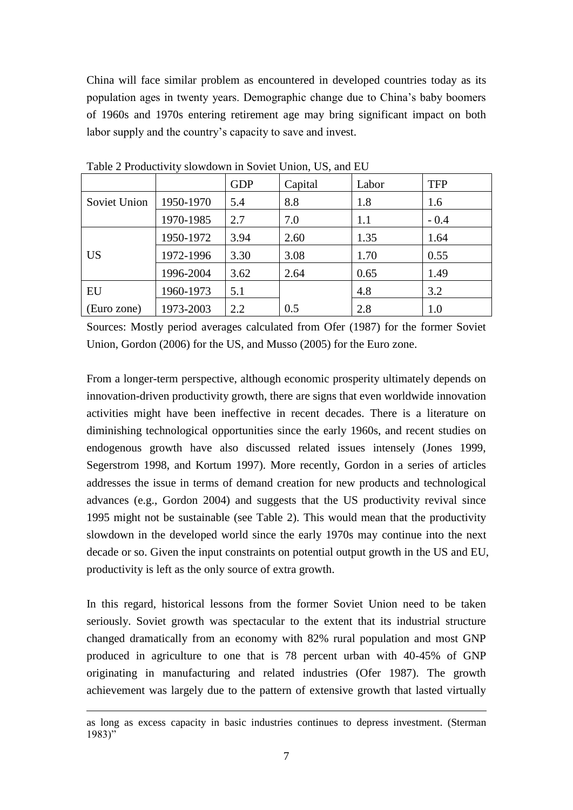China will face similar problem as encountered in developed countries today as its population ages in twenty years. Demographic change due to China's baby boomers of 1960s and 1970s entering retirement age may bring significant impact on both labor supply and the country's capacity to save and invest.

|              |           | <b>GDP</b> | Capital | Labor | <b>TFP</b> |
|--------------|-----------|------------|---------|-------|------------|
| Soviet Union | 1950-1970 | 5.4        | 8.8     | 1.8   | 1.6        |
|              | 1970-1985 | 2.7        | 7.0     | 1.1   | $-0.4$     |
|              | 1950-1972 | 3.94       | 2.60    | 1.35  | 1.64       |
| <b>US</b>    | 1972-1996 | 3.30       | 3.08    | 1.70  | 0.55       |
|              | 1996-2004 | 3.62       | 2.64    | 0.65  | 1.49       |
| EU           | 1960-1973 | 5.1        |         | 4.8   | 3.2        |
| (Euro zone)  | 1973-2003 | 2.2        | 0.5     | 2.8   | 1.0        |

Table 2 Productivity slowdown in Soviet Union, US, and EU

Sources: Mostly period averages calculated from Ofer (1987) for the former Soviet Union, Gordon (2006) for the US, and Musso (2005) for the Euro zone.

From a longer-term perspective, although economic prosperity ultimately depends on innovation-driven productivity growth, there are signs that even worldwide innovation activities might have been ineffective in recent decades. There is a literature on diminishing technological opportunities since the early 1960s, and recent studies on endogenous growth have also discussed related issues intensely (Jones 1999, Segerstrom 1998, and Kortum 1997). More recently, Gordon in a series of articles addresses the issue in terms of demand creation for new products and technological advances (e.g., Gordon 2004) and suggests that the US productivity revival since 1995 might not be sustainable (see Table 2). This would mean that the productivity slowdown in the developed world since the early 1970s may continue into the next decade or so. Given the input constraints on potential output growth in the US and EU, productivity is left as the only source of extra growth.

In this regard, historical lessons from the former Soviet Union need to be taken seriously. Soviet growth was spectacular to the extent that its industrial structure changed dramatically from an economy with 82% rural population and most GNP produced in agriculture to one that is 78 percent urban with 40-45% of GNP originating in manufacturing and related industries (Ofer 1987). The growth achievement was largely due to the pattern of extensive growth that lasted virtually

as long as excess capacity in basic industries continues to depress investment. (Sterman  $1983$ "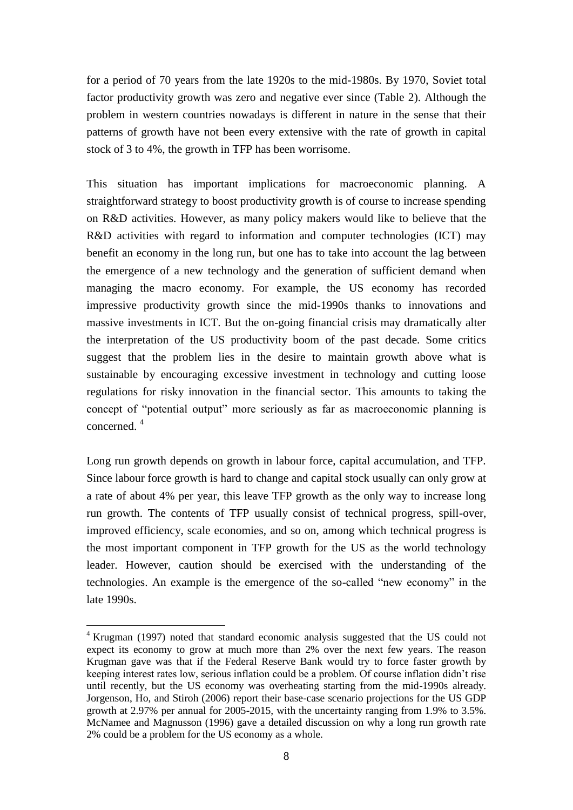for a period of 70 years from the late 1920s to the mid-1980s. By 1970, Soviet total factor productivity growth was zero and negative ever since (Table 2). Although the problem in western countries nowadays is different in nature in the sense that their patterns of growth have not been every extensive with the rate of growth in capital stock of 3 to 4%, the growth in TFP has been worrisome.

This situation has important implications for macroeconomic planning. A straightforward strategy to boost productivity growth is of course to increase spending on R&D activities. However, as many policy makers would like to believe that the R&D activities with regard to information and computer technologies (ICT) may benefit an economy in the long run, but one has to take into account the lag between the emergence of a new technology and the generation of sufficient demand when managing the macro economy. For example, the US economy has recorded impressive productivity growth since the mid-1990s thanks to innovations and massive investments in ICT. But the on-going financial crisis may dramatically alter the interpretation of the US productivity boom of the past decade. Some critics suggest that the problem lies in the desire to maintain growth above what is sustainable by encouraging excessive investment in technology and cutting loose regulations for risky innovation in the financial sector. This amounts to taking the concept of "potential output" more seriously as far as macroeconomic planning is concerned. <sup>4</sup>

Long run growth depends on growth in labour force, capital accumulation, and TFP. Since labour force growth is hard to change and capital stock usually can only grow at a rate of about 4% per year, this leave TFP growth as the only way to increase long run growth. The contents of TFP usually consist of technical progress, spill-over, improved efficiency, scale economies, and so on, among which technical progress is the most important component in TFP growth for the US as the world technology leader. However, caution should be exercised with the understanding of the technologies. An example is the emergence of the so-called "new economy" in the late 1990s.

<sup>1</sup> <sup>4</sup> Krugman (1997) noted that standard economic analysis suggested that the US could not expect its economy to grow at much more than 2% over the next few years. The reason Krugman gave was that if the Federal Reserve Bank would try to force faster growth by keeping interest rates low, serious inflation could be a problem. Of course inflation didn't rise until recently, but the US economy was overheating starting from the mid-1990s already. Jorgenson, Ho, and Stiroh (2006) report their base-case scenario projections for the US GDP growth at 2.97% per annual for 2005-2015, with the uncertainty ranging from 1.9% to 3.5%. McNamee and Magnusson (1996) gave a detailed discussion on why a long run growth rate 2% could be a problem for the US economy as a whole.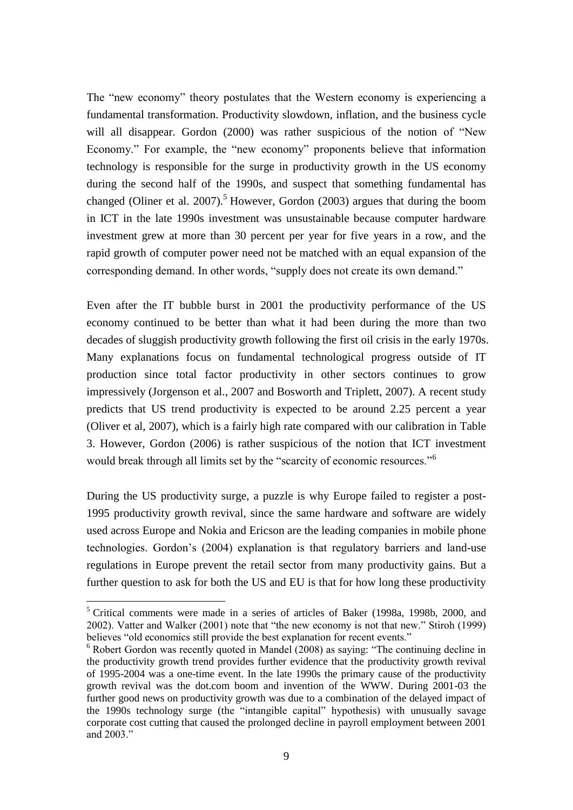The "new economy" theory postulates that the Western economy is experiencing a fundamental transformation. Productivity slowdown, inflation, and the business cycle will all disappear. Gordon  $(2000)$  was rather suspicious of the notion of "New Economy." For example, the "new economy" proponents believe that information technology is responsible for the surge in productivity growth in the US economy during the second half of the 1990s, and suspect that something fundamental has changed (Oliner et al. 2007).<sup>5</sup> However, Gordon (2003) argues that during the boom in ICT in the late 1990s investment was unsustainable because computer hardware investment grew at more than 30 percent per year for five years in a row, and the rapid growth of computer power need not be matched with an equal expansion of the corresponding demand. In other words, "supply does not create its own demand."

Even after the IT bubble burst in 2001 the productivity performance of the US economy continued to be better than what it had been during the more than two decades of sluggish productivity growth following the first oil crisis in the early 1970s. Many explanations focus on fundamental technological progress outside of IT production since total factor productivity in other sectors continues to grow impressively (Jorgenson et al., 2007 and Bosworth and Triplett, 2007). A recent study predicts that US trend productivity is expected to be around 2.25 percent a year (Oliver et al, 2007), which is a fairly high rate compared with our calibration in Table 3. However, Gordon (2006) is rather suspicious of the notion that ICT investment would break through all limits set by the "scarcity of economic resources."<sup>6</sup>

During the US productivity surge, a puzzle is why Europe failed to register a post-1995 productivity growth revival, since the same hardware and software are widely used across Europe and Nokia and Ericson are the leading companies in mobile phone technologies. Gordon's (2004) explanation is that regulatory barriers and land-use regulations in Europe prevent the retail sector from many productivity gains. But a further question to ask for both the US and EU is that for how long these productivity

<u>.</u>

<sup>5</sup> Critical comments were made in a series of articles of Baker (1998a, 1998b, 2000, and 2002). Vatter and Walker (2001) note that "the new economy is not that new." Stiroh (1999) believes "old economics still provide the best explanation for recent events."

 $6$  Robert Gordon was recently quoted in Mandel (2008) as saying: "The continuing decline in the productivity growth trend provides further evidence that the productivity growth revival of 1995-2004 was a one-time event. In the late 1990s the primary cause of the productivity growth revival was the dot.com boom and invention of the WWW. During 2001-03 the further good news on productivity growth was due to a combination of the delayed impact of the 1990s technology surge (the "intangible capital" hypothesis) with unusually savage corporate cost cutting that caused the prolonged decline in payroll employment between 2001 and  $2003$ .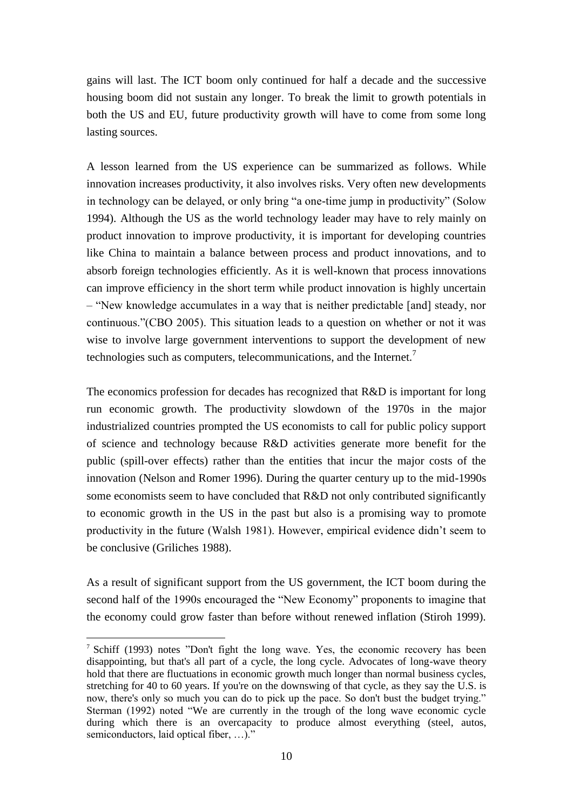gains will last. The ICT boom only continued for half a decade and the successive housing boom did not sustain any longer. To break the limit to growth potentials in both the US and EU, future productivity growth will have to come from some long lasting sources.

A lesson learned from the US experience can be summarized as follows. While innovation increases productivity, it also involves risks. Very often new developments in technology can be delayed, or only bring "a one-time jump in productivity" (Solow 1994). Although the US as the world technology leader may have to rely mainly on product innovation to improve productivity, it is important for developing countries like China to maintain a balance between process and product innovations, and to absorb foreign technologies efficiently. As it is well-known that process innovations can improve efficiency in the short term while product innovation is highly uncertain – ―New knowledge accumulates in a way that is neither predictable [and] steady, nor continuous."(CBO 2005). This situation leads to a question on whether or not it was wise to involve large government interventions to support the development of new technologies such as computers, telecommunications, and the Internet.<sup>7</sup>

The economics profession for decades has recognized that R&D is important for long run economic growth. The productivity slowdown of the 1970s in the major industrialized countries prompted the US economists to call for public policy support of science and technology because R&D activities generate more benefit for the public (spill-over effects) rather than the entities that incur the major costs of the innovation (Nelson and Romer 1996). During the quarter century up to the mid-1990s some economists seem to have concluded that R&D not only contributed significantly to economic growth in the US in the past but also is a promising way to promote productivity in the future (Walsh 1981). However, empirical evidence didn't seem to be conclusive (Griliches 1988).

As a result of significant support from the US government, the ICT boom during the second half of the 1990s encouraged the "New Economy" proponents to imagine that the economy could grow faster than before without renewed inflation (Stiroh 1999).

 $\frac{7}{1}$  Schiff (1993) notes "Don't fight the long wave. Yes, the economic recovery has been disappointing, but that's all part of a cycle, the long cycle. Advocates of long-wave theory hold that there are fluctuations in economic growth much longer than normal business cycles, stretching for 40 to 60 years. If you're on the downswing of that cycle, as they say the U.S. is now, there's only so much you can do to pick up the pace. So don't bust the budget trying." Sterman (1992) noted "We are currently in the trough of the long wave economic cycle during which there is an overcapacity to produce almost everything (steel, autos, semiconductors, laid optical fiber,  $\dots$ )."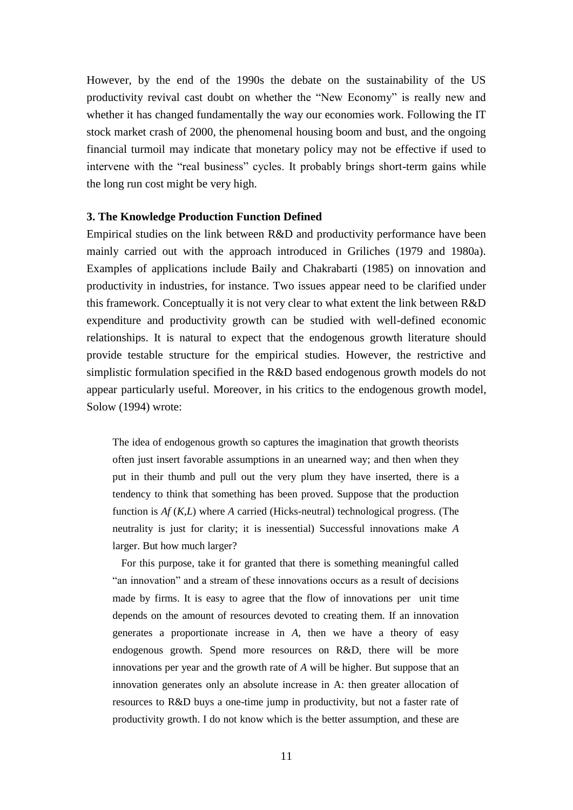However, by the end of the 1990s the debate on the sustainability of the US productivity revival cast doubt on whether the "New Economy" is really new and whether it has changed fundamentally the way our economies work. Following the IT stock market crash of 2000, the phenomenal housing boom and bust, and the ongoing financial turmoil may indicate that monetary policy may not be effective if used to intervene with the "real business" cycles. It probably brings short-term gains while the long run cost might be very high.

#### **3. The Knowledge Production Function Defined**

Empirical studies on the link between R&D and productivity performance have been mainly carried out with the approach introduced in Griliches (1979 and 1980a). Examples of applications include Baily and Chakrabarti (1985) on innovation and productivity in industries, for instance. Two issues appear need to be clarified under this framework. Conceptually it is not very clear to what extent the link between R&D expenditure and productivity growth can be studied with well-defined economic relationships. It is natural to expect that the endogenous growth literature should provide testable structure for the empirical studies. However, the restrictive and simplistic formulation specified in the R&D based endogenous growth models do not appear particularly useful. Moreover, in his critics to the endogenous growth model, Solow (1994) wrote:

The idea of endogenous growth so captures the imagination that growth theorists often just insert favorable assumptions in an unearned way; and then when they put in their thumb and pull out the very plum they have inserted, there is a tendency to think that something has been proved. Suppose that the production function is *Af* (*K*,*L*) where *A* carried (Hicks-neutral) technological progress. (The neutrality is just for clarity; it is inessential) Successful innovations make *A* larger. But how much larger?

For this purpose, take it for granted that there is something meaningful called "an innovation" and a stream of these innovations occurs as a result of decisions made by firms. It is easy to agree that the flow of innovations per unit time depends on the amount of resources devoted to creating them. If an innovation generates a proportionate increase in *A*, then we have a theory of easy endogenous growth. Spend more resources on R&D, there will be more innovations per year and the growth rate of *A* will be higher. But suppose that an innovation generates only an absolute increase in A: then greater allocation of resources to R&D buys a one-time jump in productivity, but not a faster rate of productivity growth. I do not know which is the better assumption, and these are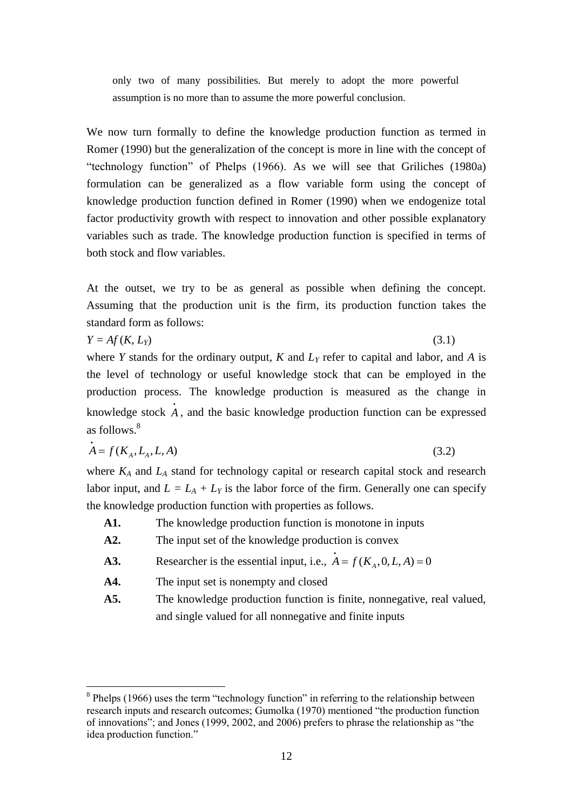only two of many possibilities. But merely to adopt the more powerful assumption is no more than to assume the more powerful conclusion.

We now turn formally to define the knowledge production function as termed in Romer (1990) but the generalization of the concept is more in line with the concept of ―technology function‖ of Phelps (1966). As we will see that Griliches (1980a) formulation can be generalized as a flow variable form using the concept of knowledge production function defined in Romer (1990) when we endogenize total factor productivity growth with respect to innovation and other possible explanatory variables such as trade. The knowledge production function is specified in terms of both stock and flow variables.

At the outset, we try to be as general as possible when defining the concept. Assuming that the production unit is the firm, its production function takes the standard form as follows:

$$
Y = Af(K, L_Y) \tag{3.1}
$$

1

where *Y* stands for the ordinary output, *K* and *L<sup>Y</sup>* refer to capital and labor, and *A* is the level of technology or useful knowledge stock that can be employed in the production process. The knowledge production is measured as the change in knowledge stock *A* , and the basic knowledge production function can be expressed as follows  $8$ 

$$
\dot{A} = f(K_A, L_A, L, A) \tag{3.2}
$$

where *K<sup>A</sup>* and *L<sup>A</sup>* stand for technology capital or research capital stock and research labor input, and  $L = L_A + L_Y$  is the labor force of the firm. Generally one can specify the knowledge production function with properties as follows.

- **A1.** The knowledge production function is monotone in inputs
- **A2.** The input set of the knowledge production is convex
- **A3.** Researcher is the essential input, i.e.,  $A = f(K_A, 0, L, A) = 0$
- **A4.** The input set is nonempty and closed
- **A5.** The knowledge production function is finite, nonnegative, real valued, and single valued for all nonnegative and finite inputs

 $8$  Phelps (1966) uses the term "technology function" in referring to the relationship between research inputs and research outcomes; Gumolka (1970) mentioned "the production function of innovations"; and Jones (1999, 2002, and 2006) prefers to phrase the relationship as "the idea production function."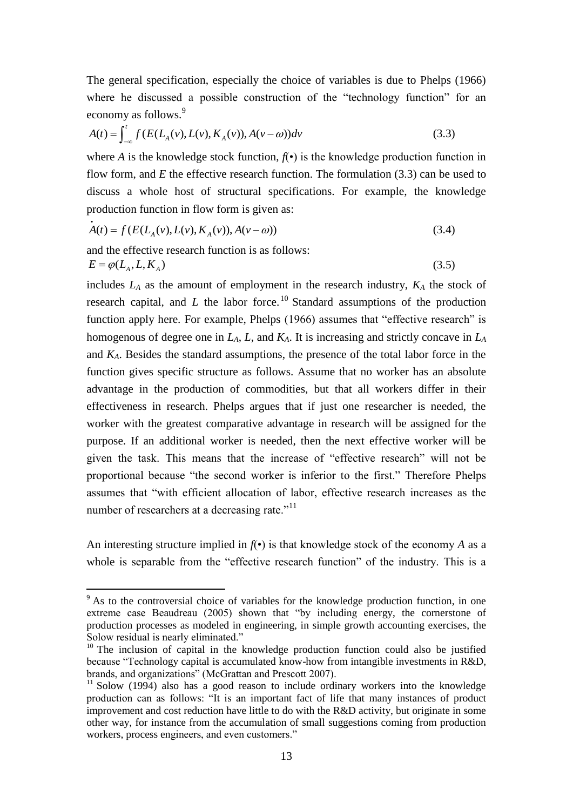The general specification, especially the choice of variables is due to Phelps (1966) where he discussed a possible construction of the "technology function" for an

economy as follows.<sup>9</sup>  
\n
$$
A(t) = \int_{-\infty}^{t} f(E(L_A(v), L(v), K_A(v)), A(v - \omega)) dv
$$
\n(3.3)

where *A* is the knowledge stock function,  $f(\cdot)$  is the knowledge production function in flow form, and *E* the effective research function. The formulation (3.3) can be used to discuss a whole host of structural specifications. For example, the knowledge

production function in flow form is given as:  
\n
$$
\dot{A}(t) = f(E(L_A(v), L(v), K_A(v)), A(v - \omega))
$$
\n(3.4)

and the effective research function is as follows:

1

$$
E = \varphi(L_A, L, K_A) \tag{3.5}
$$

includes  $L_A$  as the amount of employment in the research industry,  $K_A$  the stock of research capital, and  $L$  the labor force.<sup>10</sup> Standard assumptions of the production function apply here. For example, Phelps (1966) assumes that "effective research" is homogenous of degree one in *LA*, *L*, and *KA*. It is increasing and strictly concave in *L<sup>A</sup>* and  $K_A$ . Besides the standard assumptions, the presence of the total labor force in the function gives specific structure as follows. Assume that no worker has an absolute advantage in the production of commodities, but that all workers differ in their effectiveness in research. Phelps argues that if just one researcher is needed, the worker with the greatest comparative advantage in research will be assigned for the purpose. If an additional worker is needed, then the next effective worker will be given the task. This means that the increase of "effective research" will not be proportional because "the second worker is inferior to the first." Therefore Phelps assumes that "with efficient allocation of labor, effective research increases as the number of researchers at a decreasing rate.<sup>"11</sup>

An interesting structure implied in  $f(\cdot)$  is that knowledge stock of the economy *A* as a whole is separable from the "effective research function" of the industry. This is a

 $9<sup>9</sup>$  As to the controversial choice of variables for the knowledge production function, in one extreme case Beaudreau (2005) shown that "by including energy, the cornerstone of production processes as modeled in engineering, in simple growth accounting exercises, the Solow residual is nearly eliminated."

 $10$  The inclusion of capital in the knowledge production function could also be justified because "Technology capital is accumulated know-how from intangible investments in R&D, brands, and organizations" (McGrattan and Prescott 2007).

 $11$  Solow (1994) also has a good reason to include ordinary workers into the knowledge production can as follows: "It is an important fact of life that many instances of product improvement and cost reduction have little to do with the R&D activity, but originate in some other way, for instance from the accumulation of small suggestions coming from production workers, process engineers, and even customers."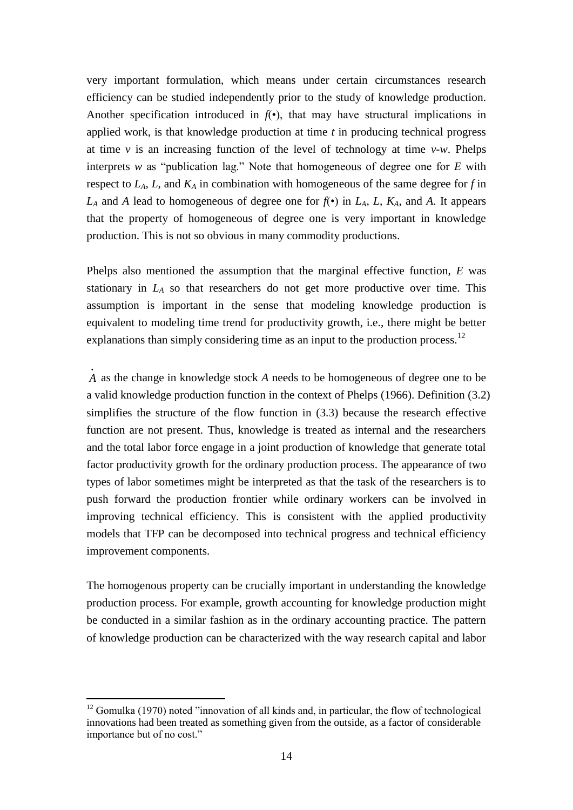very important formulation, which means under certain circumstances research efficiency can be studied independently prior to the study of knowledge production. Another specification introduced in  $f(\cdot)$ , that may have structural implications in applied work, is that knowledge production at time *t* in producing technical progress at time  $\nu$  is an increasing function of the level of technology at time  $\nu$ -w. Phelps interprets *w* as "publication lag." Note that homogeneous of degree one for  $E$  with respect to *LA*, *L*, and *K<sup>A</sup>* in combination with homogeneous of the same degree for *f* in  $L_A$  and *A* lead to homogeneous of degree one for  $f(\cdot)$  in  $L_A$ ,  $L$ ,  $K_A$ , and *A*. It appears that the property of homogeneous of degree one is very important in knowledge production. This is not so obvious in many commodity productions.

Phelps also mentioned the assumption that the marginal effective function, *E* was stationary in *L<sup>A</sup>* so that researchers do not get more productive over time. This assumption is important in the sense that modeling knowledge production is equivalent to modeling time trend for productivity growth, i.e., there might be better explanations than simply considering time as an input to the production process.<sup>12</sup>

*A* as the change in knowledge stock *A* needs to be homogeneous of degree one to be a valid knowledge production function in the context of Phelps (1966). Definition (3.2) simplifies the structure of the flow function in (3.3) because the research effective function are not present. Thus, knowledge is treated as internal and the researchers and the total labor force engage in a joint production of knowledge that generate total factor productivity growth for the ordinary production process. The appearance of two types of labor sometimes might be interpreted as that the task of the researchers is to push forward the production frontier while ordinary workers can be involved in improving technical efficiency. This is consistent with the applied productivity models that TFP can be decomposed into technical progress and technical efficiency improvement components.

The homogenous property can be crucially important in understanding the knowledge production process. For example, growth accounting for knowledge production might be conducted in a similar fashion as in the ordinary accounting practice. The pattern of knowledge production can be characterized with the way research capital and labor

 $12$  Gomulka (1970) noted "innovation of all kinds and, in particular, the flow of technological innovations had been treated as something given from the outside, as a factor of considerable importance but of no cost."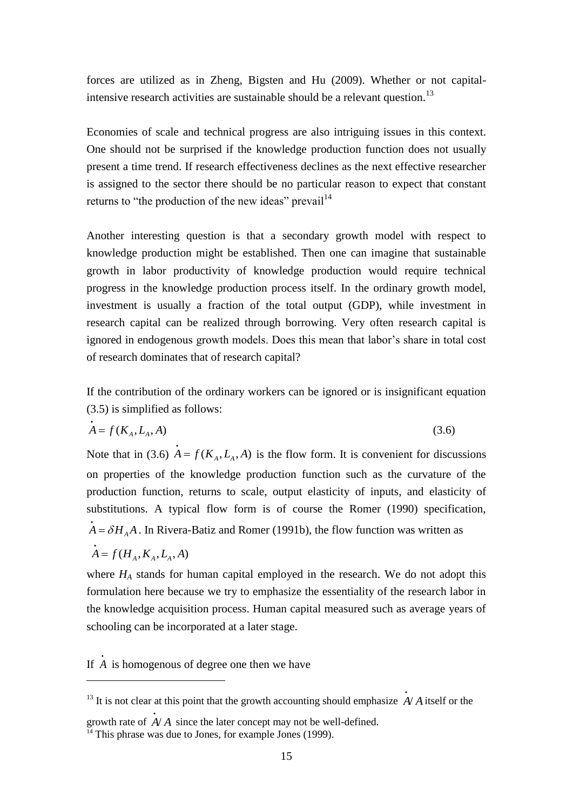forces are utilized as in Zheng, Bigsten and Hu (2009). Whether or not capitalintensive research activities are sustainable should be a relevant question.<sup>13</sup>

Economies of scale and technical progress are also intriguing issues in this context. One should not be surprised if the knowledge production function does not usually present a time trend. If research effectiveness declines as the next effective researcher is assigned to the sector there should be no particular reason to expect that constant returns to "the production of the new ideas" prevail $14$ 

Another interesting question is that a secondary growth model with respect to knowledge production might be established. Then one can imagine that sustainable growth in labor productivity of knowledge production would require technical progress in the knowledge production process itself. In the ordinary growth model, investment is usually a fraction of the total output (GDP), while investment in research capital can be realized through borrowing. Very often research capital is ignored in endogenous growth models. Does this mean that labor's share in total cost of research dominates that of research capital?

If the contribution of the ordinary workers can be ignored or is insignificant equation (3.5) is simplified as follows:

$$
A = f(K_A, L_A, A) \tag{3.6}
$$

Note that in (3.6)  $A = f(K_A, L_A, A)$  is the flow form. It is convenient for discussions on properties of the knowledge production function such as the curvature of the production function, returns to scale, output elasticity of inputs, and elasticity of substitutions. A typical flow form is of course the Romer (1990) specification,  $A = \delta H_A A$ . In Rivera-Batiz and Romer (1991b), the flow function was written as

$$
\dot{A} = f(H_A, K_A, L_A, A)
$$

1

where  $H_A$  stands for human capital employed in the research. We do not adopt this formulation here because we try to emphasize the essentiality of the research labor in the knowledge acquisition process. Human capital measured such as average years of schooling can be incorporated at a later stage.

If *A* is homogenous of degree one then we have

<sup>&</sup>lt;sup>13</sup> It is not clear at this point that the growth accounting should emphasize  $A / A$  itself or the

growth rate of  $A/A$  since the later concept may not be well-defined.

 $14$  This phrase was due to Jones, for example Jones (1999).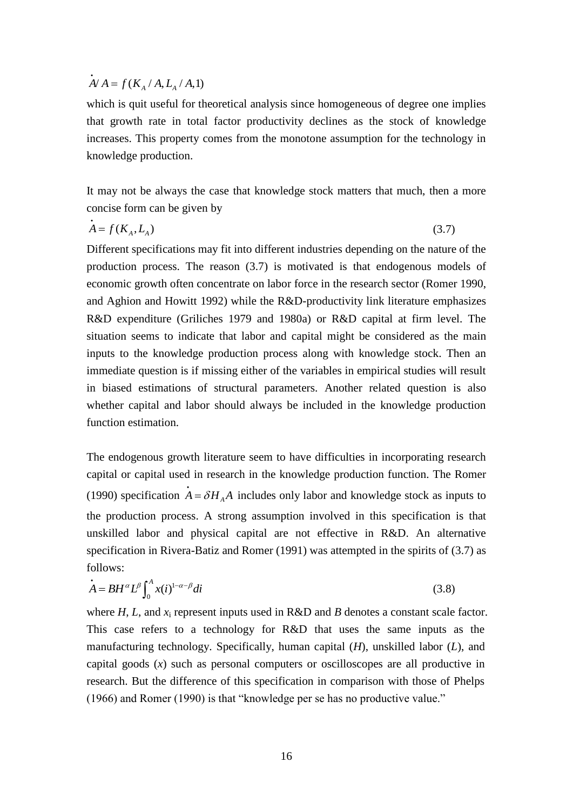# $\dot{A}$ /  $A = f(K_A / A, L_A / A, 1)$

which is quit useful for theoretical analysis since homogeneous of degree one implies that growth rate in total factor productivity declines as the stock of knowledge increases. This property comes from the monotone assumption for the technology in knowledge production.

It may not be always the case that knowledge stock matters that much, then a more concise form can be given by

$$
A = f(K_A, L_A) \tag{3.7}
$$

Different specifications may fit into different industries depending on the nature of the production process. The reason (3.7) is motivated is that endogenous models of economic growth often concentrate on labor force in the research sector (Romer 1990, and Aghion and Howitt 1992) while the R&D-productivity link literature emphasizes R&D expenditure (Griliches 1979 and 1980a) or R&D capital at firm level. The situation seems to indicate that labor and capital might be considered as the main inputs to the knowledge production process along with knowledge stock. Then an immediate question is if missing either of the variables in empirical studies will result in biased estimations of structural parameters. Another related question is also whether capital and labor should always be included in the knowledge production function estimation.

The endogenous growth literature seem to have difficulties in incorporating research capital or capital used in research in the knowledge production function. The Romer (1990) specification  $A = \delta H_A A$  includes only labor and knowledge stock as inputs to the production process. A strong assumption involved in this specification is that unskilled labor and physical capital are not effective in R&D. An alternative specification in Rivera-Batiz and Romer (1991) was attempted in the spirits of (3.7) as follows:

$$
\dot{A} = BH^{\alpha} L^{\beta} \int_0^A x(i)^{1-\alpha-\beta} di
$$
\n(3.8)

where *H*, *L*, and *x*<sup>i</sup> represent inputs used in R&D and *B* denotes a constant scale factor. This case refers to a technology for R&D that uses the same inputs as the manufacturing technology. Specifically, human capital (*H*), unskilled labor (*L*), and capital goods (*x*) such as personal computers or oscilloscopes are all productive in research. But the difference of this specification in comparison with those of Phelps  $(1966)$  and Romer  $(1990)$  is that "knowledge per se has no productive value."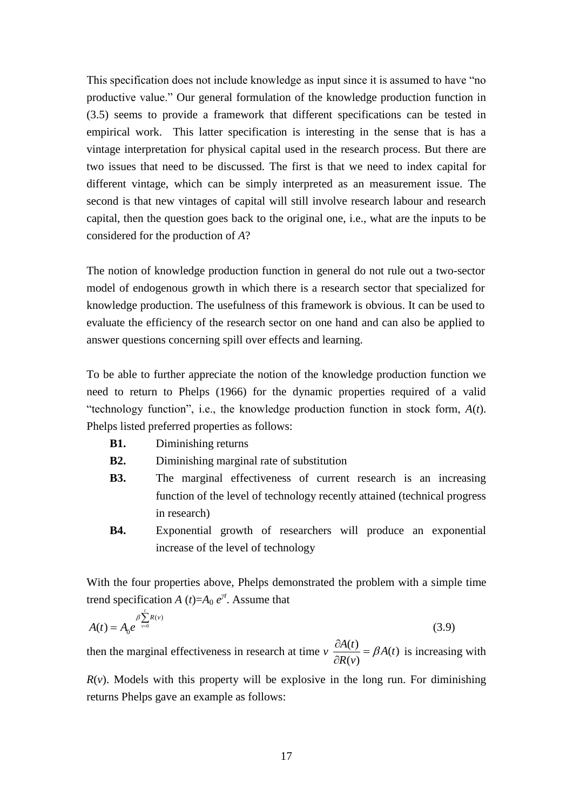This specification does not include knowledge as input since it is assumed to have "no productive value." Our general formulation of the knowledge production function in (3.5) seems to provide a framework that different specifications can be tested in empirical work. This latter specification is interesting in the sense that is has a vintage interpretation for physical capital used in the research process. But there are two issues that need to be discussed. The first is that we need to index capital for different vintage, which can be simply interpreted as an measurement issue. The second is that new vintages of capital will still involve research labour and research capital, then the question goes back to the original one, i.e., what are the inputs to be considered for the production of *A*?

The notion of knowledge production function in general do not rule out a two-sector model of endogenous growth in which there is a research sector that specialized for knowledge production. The usefulness of this framework is obvious. It can be used to evaluate the efficiency of the research sector on one hand and can also be applied to answer questions concerning spill over effects and learning.

To be able to further appreciate the notion of the knowledge production function we need to return to Phelps (1966) for the dynamic properties required of a valid "technology function", i.e., the knowledge production function in stock form,  $A(t)$ . Phelps listed preferred properties as follows:

- **B1.** Diminishing returns
- **B2.** Diminishing marginal rate of substitution
- **B3.** The marginal effectiveness of current research is an increasing function of the level of technology recently attained (technical progress in research)
- **B4.** Exponential growth of researchers will produce an exponential increase of the level of technology

With the four properties above, Phelps demonstrated the problem with a simple time trend specification *A* (*t*)= $A_0 e^{\gamma t}$ . Assume that

$$
A(t) = A_0 e^{\beta \sum_{\nu=0}^{t} R(\nu)}
$$
(3.9)

then the marginal effectiveness in research at time  $v \frac{\partial A(t)}{\partial x} = \beta A(t)$  $(v)$  $\frac{A(t)}{B(t)} = \beta A(t)$  $\frac{\partial A(t)}{\partial R(v)} = \beta$  $\partial$ is increasing with

 $R(v)$ . Models with this property will be explosive in the long run. For diminishing returns Phelps gave an example as follows: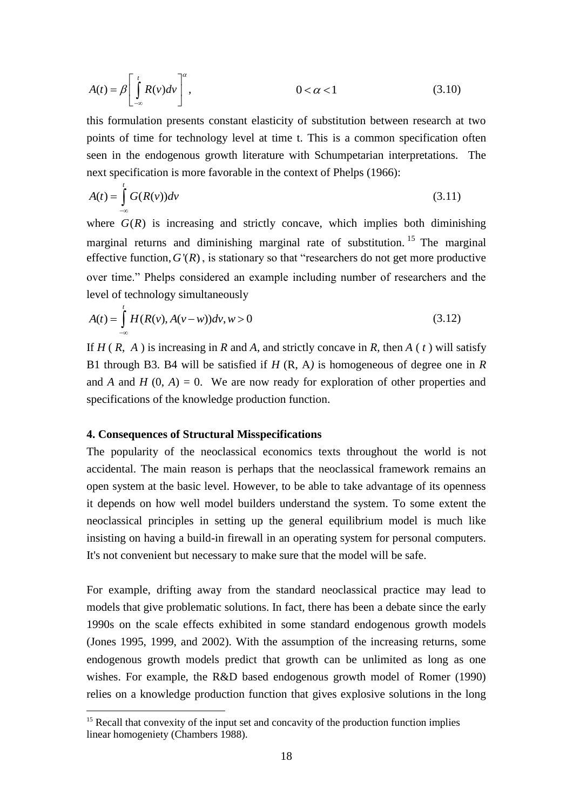$$
A(t) = \beta \left[ \int_{-\infty}^{t} R(v) dv \right]^{\alpha}, \qquad 0 < \alpha < 1 \qquad (3.10)
$$

this formulation presents constant elasticity of substitution between research at two points of time for technology level at time t. This is a common specification often seen in the endogenous growth literature with Schumpetarian interpretations. The next specification is more favorable in the context of Phelps (1966):

$$
A(t) = \int_{-\infty}^{t} G(R(v))dv
$$
\n(3.11)

where  $G(R)$  is increasing and strictly concave, which implies both diminishing marginal returns and diminishing marginal rate of substitution.<sup>15</sup> The marginal effective function,  $G'(R)$ , is stationary so that "researchers do not get more productive over time." Phelps considered an example including number of researchers and the level of technology simultaneously

$$
A(t) = \int_{-\infty}^{t} H(R(v), A(v - w))dv, w > 0
$$
\n(3.12)

If  $H(R, A)$  is increasing in  $R$  and  $A$ , and strictly concave in  $R$ , then  $A(t)$  will satisfy B1 through B3. B4 will be satisfied if *H* (R, A*)* is homogeneous of degree one in *R*  and *A* and *H*  $(0, A) = 0$ . We are now ready for exploration of other properties and specifications of the knowledge production function.

#### **4. Consequences of Structural Misspecifications**

1

The popularity of the neoclassical economics texts throughout the world is not accidental. The main reason is perhaps that the neoclassical framework remains an open system at the basic level. However, to be able to take advantage of its openness it depends on how well model builders understand the system. To some extent the neoclassical principles in setting up the general equilibrium model is much like insisting on having a build-in firewall in an operating system for personal computers. It's not convenient but necessary to make sure that the model will be safe.

For example, drifting away from the standard neoclassical practice may lead to models that give problematic solutions. In fact, there has been a debate since the early 1990s on the scale effects exhibited in some standard endogenous growth models (Jones 1995, 1999, and 2002). With the assumption of the increasing returns, some endogenous growth models predict that growth can be unlimited as long as one wishes. For example, the R&D based endogenous growth model of Romer (1990) relies on a knowledge production function that gives explosive solutions in the long

 $15$  Recall that convexity of the input set and concavity of the production function implies linear homogeniety (Chambers 1988).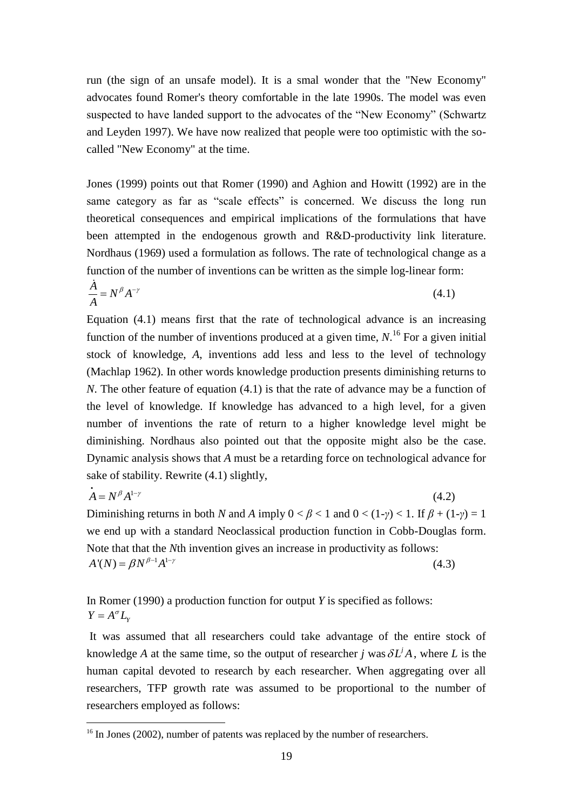run (the sign of an unsafe model). It is a smal wonder that the "New Economy" advocates found Romer's theory comfortable in the late 1990s. The model was even suspected to have landed support to the advocates of the "New Economy" (Schwartz and Leyden 1997). We have now realized that people were too optimistic with the socalled "New Economy" at the time.

Jones (1999) points out that Romer (1990) and Aghion and Howitt (1992) are in the same category as far as "scale effects" is concerned. We discuss the long run theoretical consequences and empirical implications of the formulations that have been attempted in the endogenous growth and R&D-productivity link literature. Nordhaus (1969) used a formulation as follows. The rate of technological change as a function of the number of inventions can be written as the simple log-linear form:

$$
\frac{\dot{A}}{A} = N^{\beta} A^{-\gamma} \tag{4.1}
$$

Equation (4.1) means first that the rate of technological advance is an increasing function of the number of inventions produced at a given time,  $N$ <sup>16</sup>. For a given initial stock of knowledge, *A*, inventions add less and less to the level of technology (Machlap 1962). In other words knowledge production presents diminishing returns to *N*. The other feature of equation (4.1) is that the rate of advance may be a function of the level of knowledge. If knowledge has advanced to a high level, for a given number of inventions the rate of return to a higher knowledge level might be diminishing. Nordhaus also pointed out that the opposite might also be the case. Dynamic analysis shows that *A* must be a retarding force on technological advance for sake of stability. Rewrite (4.1) slightly,

$$
A = N^{\beta} A^{1-\gamma}
$$
 (4.2)  
Diminishing returns in both N and A imply  $0 < \beta < 1$  and  $0 < (1-\gamma) < 1$ . If  $\beta + (1-\gamma) = 1$ 

we end up with a standard Neoclassical production function in Cobb-Douglas form. Note that that the *N*th invention gives an increase in productivity as follows:  $A'(N) = \beta N^{\beta - 1} A^{1 - \gamma}$ (4.3)

In Romer (1990) a production function for output *Y* is specified as follows:  $Y = A^{\sigma} L_{Y}$ 

It was assumed that all researchers could take advantage of the entire stock of knowledge *A* at the same time, so the output of researcher *j* was  $\delta L^i A$ , where *L* is the human capital devoted to research by each researcher. When aggregating over all researchers, TFP growth rate was assumed to be proportional to the number of researchers employed as follows:

 $16$  In Jones (2002), number of patents was replaced by the number of researchers.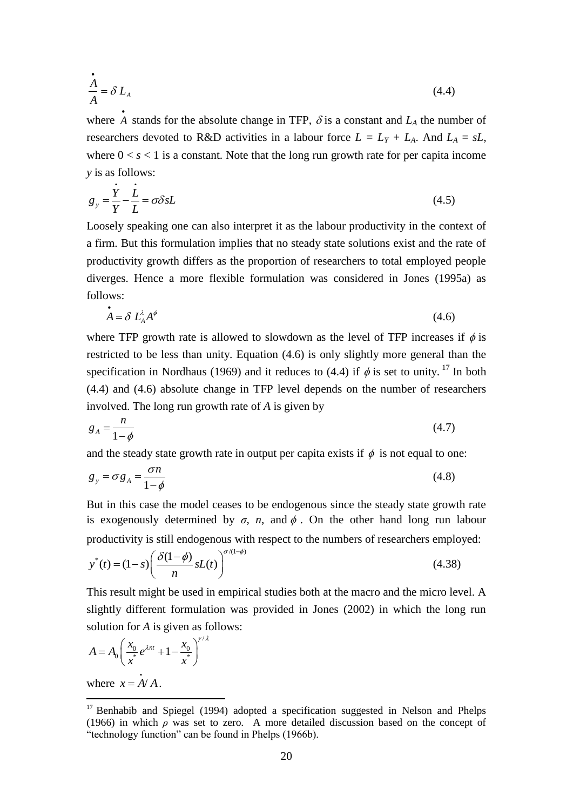$$
\frac{\dot{A}}{A} = \delta L_A \tag{4.4}
$$

where  $\overrightarrow{A}$  stands for the absolute change in TFP,  $\delta$  is a constant and  $L_A$  the number of researchers devoted to R&D activities in a labour force  $L = L_Y + L_A$ . And  $L_A = sL$ , where  $0 < s < 1$  is a constant. Note that the long run growth rate for per capita income *y* is as follows:

$$
g_y = \frac{\dot{Y}}{Y} - \frac{\dot{L}}{L} = \sigma \delta s L \tag{4.5}
$$

Loosely speaking one can also interpret it as the labour productivity in the context of a firm. But this formulation implies that no steady state solutions exist and the rate of productivity growth differs as the proportion of researchers to total employed people diverges. Hence a more flexible formulation was considered in Jones (1995a) as follows:

$$
\mathbf{A} = \delta \ L_A^{\lambda} A^{\phi} \tag{4.6}
$$

where TFP growth rate is allowed to slowdown as the level of TFP increases if  $\phi$  is restricted to be less than unity. Equation (4.6) is only slightly more general than the specification in Nordhaus (1969) and it reduces to (4.4) if  $\phi$  is set to unity. <sup>17</sup> In both (4.4) and (4.6) absolute change in TFP level depends on the number of researchers involved. The long run growth rate of *A* is given by

$$
g_A = \frac{n}{1 - \phi} \tag{4.7}
$$

and the steady state growth rate in output per capita exists if  $\phi$  is not equal to one:

$$
g_y = \sigma g_A = \frac{\sigma n}{1 - \phi} \tag{4.8}
$$

But in this case the model ceases to be endogenous since the steady state growth rate is exogenously determined by  $\sigma$ ,  $n$ , and  $\phi$ . On the other hand long run labour

productivity is still endogenous with respect to the numbers of researchers employed:  
\n
$$
y^*(t) = (1-s) \left( \frac{\delta(1-\phi)}{n} sL(t) \right)^{\sigma/(1-\phi)}
$$
\n(4.38)

This result might be used in empirical studies both at the macro and the micro level. A slightly different formulation was provided in Jones (2002) in which the long run solution for *A* is given as follows:

$$
A = A_0 \left( \frac{x_0}{x^*} e^{\lambda nt} + 1 - \frac{x_0}{x^*} \right)^{r/\lambda}
$$

where  $x = A/A$ .

 $17$  Benhabib and Spiegel (1994) adopted a specification suggested in Nelson and Phelps (1966) in which *ρ* was set to zero. A more detailed discussion based on the concept of "technology function" can be found in Phelps (1966b).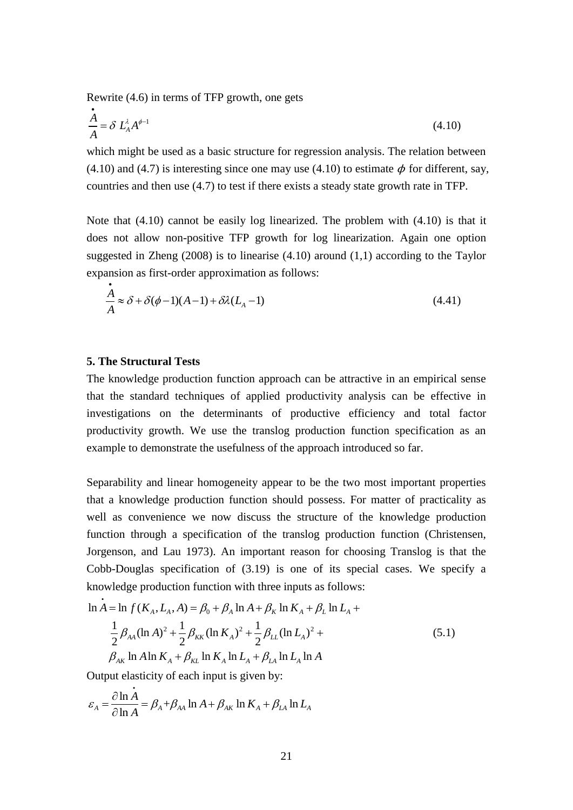Rewrite (4.6) in terms of TFP growth, one gets

$$
\frac{\dot{A}}{A} = \delta L_A^{\lambda} A^{\phi - 1} \tag{4.10}
$$

which might be used as a basic structure for regression analysis. The relation between (4.10) and (4.7) is interesting since one may use (4.10) to estimate  $\phi$  for different, say, countries and then use (4.7) to test if there exists a steady state growth rate in TFP.

Note that (4.10) cannot be easily log linearized. The problem with (4.10) is that it does not allow non-positive TFP growth for log linearization. Again one option suggested in Zheng (2008) is to linearise (4.10) around (1,1) according to the Taylor expansion as first-order approximation as follows:

$$
\frac{\dot{A}}{A} \approx \delta + \delta(\phi - 1)(A - 1) + \delta\lambda (L_A - 1)
$$
\n(4.41)

#### **5. The Structural Tests**

The knowledge production function approach can be attractive in an empirical sense that the standard techniques of applied productivity analysis can be effective in investigations on the determinants of productive efficiency and total factor productivity growth. We use the translog production function specification as an example to demonstrate the usefulness of the approach introduced so far.

Separability and linear homogeneity appear to be the two most important properties that a knowledge production function should possess. For matter of practicality as well as convenience we now discuss the structure of the knowledge production function through a specification of the translog production function (Christensen, Jorgenson, and Lau 1973). An important reason for choosing Translog is that the Cobb-Douglas specification of (3.19) is one of its special cases. We specify a knowledge production function with three inputs as follows:<br>  $\ln A = \ln f(K_A, L_A, A) = \beta_0 + \beta_A \ln A + \beta_K \ln K_A + \beta_L \ln L_A +$ 

$$
\ln A = \ln f(K_A, L_A, A) = \beta_0 + \beta_A \ln A + \beta_K \ln K_A + \beta_L \ln L_A +
$$
  
\n
$$
\frac{1}{2} \beta_{AA} (\ln A)^2 + \frac{1}{2} \beta_{KK} (\ln K_A)^2 + \frac{1}{2} \beta_{LL} (\ln L_A)^2 +
$$
  
\n
$$
\beta_{AK} \ln A \ln K_A + \beta_{KL} \ln K_A \ln L_A + \beta_{LA} \ln L_A \ln A
$$
\n(5.1)

Output elasticity of each input is given by:  
\n
$$
\varepsilon_A = \frac{\partial \ln A}{\partial \ln A} = \beta_A + \beta_{AA} \ln A + \beta_{AK} \ln K_A + \beta_{LA} \ln L_A
$$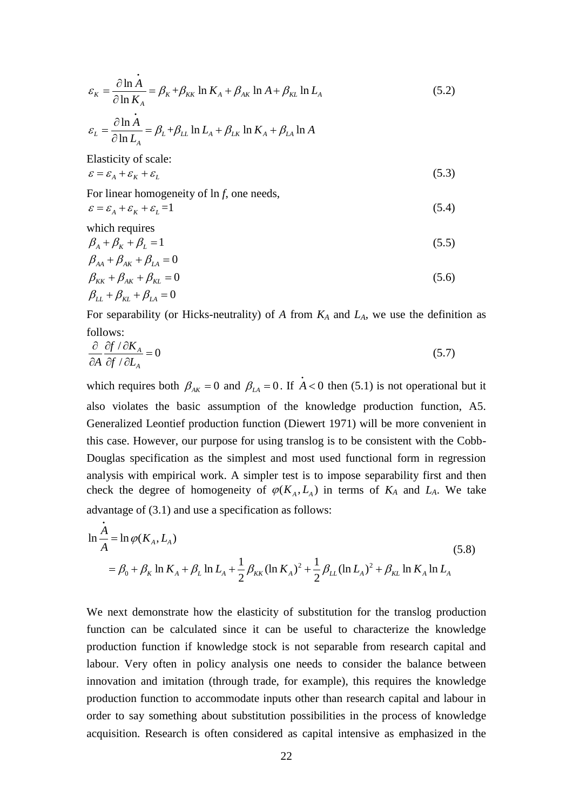$$
\varepsilon_{K} = \frac{\partial \ln A}{\partial \ln K_{A}} = \beta_{K} + \beta_{KK} \ln K_{A} + \beta_{AK} \ln A + \beta_{KL} \ln L_{A}
$$
\n
$$
\varepsilon_{L} = \frac{\partial \ln A}{\partial \ln L_{A}} = \beta_{L} + \beta_{LL} \ln L_{A} + \beta_{LK} \ln K_{A} + \beta_{LA} \ln A
$$
\nElasticity of scale:

$$
\varepsilon = \varepsilon_A + \varepsilon_K + \varepsilon_L \tag{5.3}
$$

For linear homogeneity of ln *f*, one needs,

$$
\varepsilon = \varepsilon_A + \varepsilon_K + \varepsilon_L = 1 \tag{5.4}
$$

which requires

$$
\beta_A + \beta_K + \beta_L = 1 \tag{5.5}
$$

$$
\beta_{AA} + \beta_{AK} + \beta_{LA} = 0 \n\beta_{KK} + \beta_{AK} + \beta_{KL} = 0 \n\beta_{LL} + \beta_{KL} + \beta_{LA} = 0
$$
\n(5.6)

For separability (or Hicks-neutrality) of  $A$  from  $K_A$  and  $L_A$ , we use the definition as follows:

$$
\frac{\partial}{\partial A} \frac{\partial f}{\partial f / \partial L_A} = 0 \tag{5.7}
$$

 $\frac{\ln A}{\ln K_A} = \beta_k + \beta_{kk} \ln K_A + \beta_{Ak} \ln A + \beta_{kl} \ln A$ <br>  $\frac{\ln A}{\ln L_A} = \beta_L + \beta_{LL} \ln L_A + \beta_{LK} \ln K_A + \beta_{LL} \ln A$ <br>  $\frac{1}{\ln L_A}$ <br>  $\frac{\ln A}{\ln L_A} = \beta_L + \beta_{LL} \ln L_A + \beta_{LK} \ln K_A + \beta_{LL} \ln A$ <br>  $\frac{1}{\ln L_A}$ <br>  $\frac{\ln A}{\ln L_A} = \frac{1}{\ln L_A} = 0$ <br>  $\frac{\ln A}{\ln L_A} = 0$ <br>  $\frac$ which requires both  $\beta_{AK} = 0$  and  $\beta_{LA} = 0$ . If  $A < 0$  then (5.1) is not operational but it also violates the basic assumption of the knowledge production function, A5. Generalized Leontief production function (Diewert 1971) will be more convenient in this case. However, our purpose for using translog is to be consistent with the Cobb-Douglas specification as the simplest and most used functional form in regression analysis with empirical work. A simpler test is to impose separability first and then check the degree of homogeneity of  $\varphi(K_A, L_A)$  in terms of  $K_A$  and  $L_A$ . We take advantage of (3.1) and use a specification as follows:

advantage of (3.1) and use a specification as follows:  
\n
$$
\ln \frac{\dot{A}}{A} = \ln \varphi(K_A, L_A)
$$
\n
$$
= \beta_0 + \beta_K \ln K_A + \beta_L \ln L_A + \frac{1}{2} \beta_{KK} (\ln K_A)^2 + \frac{1}{2} \beta_{LL} (\ln L_A)^2 + \beta_{KL} \ln K_A \ln L_A
$$
\n(5.8)

We next demonstrate how the elasticity of substitution for the translog production function can be calculated since it can be useful to characterize the knowledge production function if knowledge stock is not separable from research capital and labour. Very often in policy analysis one needs to consider the balance between innovation and imitation (through trade, for example), this requires the knowledge production function to accommodate inputs other than research capital and labour in order to say something about substitution possibilities in the process of knowledge acquisition. Research is often considered as capital intensive as emphasized in the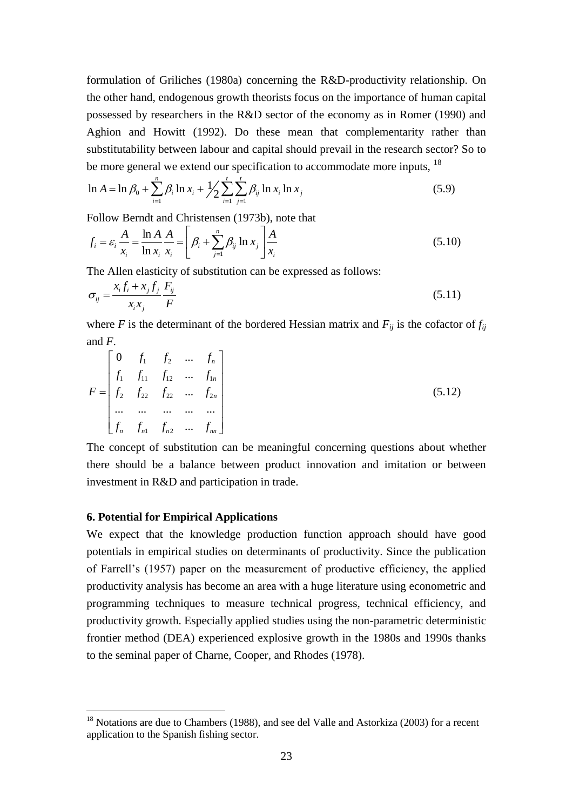formulation of Griliches (1980a) concerning the R&D-productivity relationship. On the other hand, endogenous growth theorists focus on the importance of human capital possessed by researchers in the R&D sector of the economy as in Romer (1990) and Aghion and Howitt (1992). Do these mean that complementarity rather than substitutability between labour and capital should prevail in the research sector? So to

be more general we extend our specification to accommodate more inputs, <sup>18</sup>  
\n
$$
\ln A = \ln \beta_0 + \sum_{i=1}^n \beta_i \ln x_i + \frac{1}{2} \sum_{i=1}^t \sum_{j=1}^r \beta_{ij} \ln x_i \ln x_j
$$
\n(5.9)

Follow Berndt and Christensen (1973b), note that

Follow Berndt and Christensen (1973b), note that  
\n
$$
f_i = \varepsilon_i \frac{A}{x_i} = \frac{\ln A}{\ln x_i} \frac{A}{x_i} = \left[ \beta_i + \sum_{j=1}^n \beta_{ij} \ln x_j \right] \frac{A}{x_i}
$$
\n(5.10)

The Allen elasticity of substitution can be expressed as follows:

$$
\sigma_{ij} = \frac{x_i f_i + x_j f_j}{x_i x_j} \frac{F_{ij}}{F}
$$
\n(5.11)

where *F* is the determinant of the bordered Hessian matrix and  $F_{ij}$  is the cofactor of  $f_{ij}$ and *F*.

$$
F = \begin{bmatrix} 0 & f_1 & f_2 & \dots & f_n \\ f_1 & f_{11} & f_{12} & \dots & f_{1n} \\ f_2 & f_{22} & f_{22} & \dots & f_{2n} \\ \dots & \dots & \dots & \dots & \dots \\ f_n & f_{n1} & f_{n2} & \dots & f_{nn} \end{bmatrix}
$$
(5.12)

The concept of substitution can be meaningful concerning questions about whether there should be a balance between product innovation and imitation or between investment in R&D and participation in trade.

#### **6. Potential for Empirical Applications**

1

We expect that the knowledge production function approach should have good potentials in empirical studies on determinants of productivity. Since the publication of Farrell's (1957) paper on the measurement of productive efficiency, the applied productivity analysis has become an area with a huge literature using econometric and programming techniques to measure technical progress, technical efficiency, and productivity growth. Especially applied studies using the non-parametric deterministic frontier method (DEA) experienced explosive growth in the 1980s and 1990s thanks to the seminal paper of Charne, Cooper, and Rhodes (1978).

 $18$  Notations are due to Chambers (1988), and see del Valle and Astorkiza (2003) for a recent application to the Spanish fishing sector.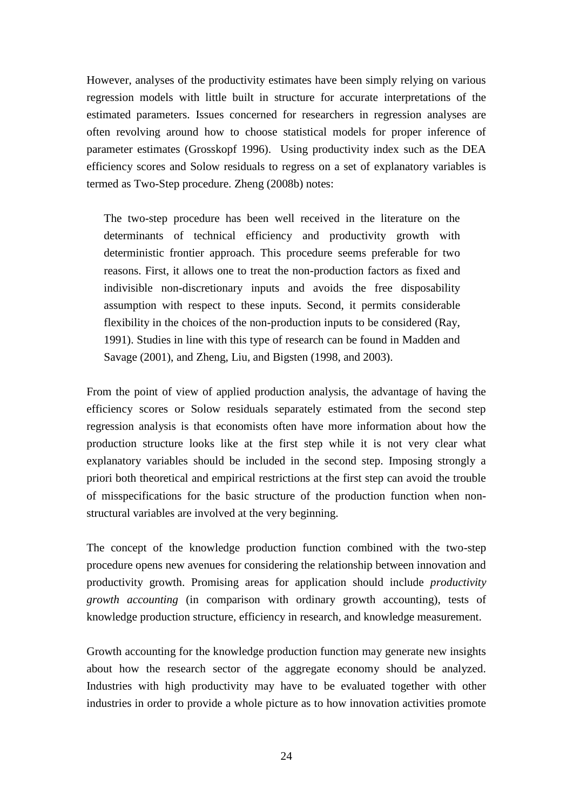However, analyses of the productivity estimates have been simply relying on various regression models with little built in structure for accurate interpretations of the estimated parameters. Issues concerned for researchers in regression analyses are often revolving around how to choose statistical models for proper inference of parameter estimates (Grosskopf 1996). Using productivity index such as the DEA efficiency scores and Solow residuals to regress on a set of explanatory variables is termed as Two-Step procedure. Zheng (2008b) notes:

The two-step procedure has been well received in the literature on the determinants of technical efficiency and productivity growth with deterministic frontier approach. This procedure seems preferable for two reasons. First, it allows one to treat the non-production factors as fixed and indivisible non-discretionary inputs and avoids the free disposability assumption with respect to these inputs. Second, it permits considerable flexibility in the choices of the non-production inputs to be considered (Ray, 1991). Studies in line with this type of research can be found in Madden and Savage (2001), and Zheng, Liu, and Bigsten (1998, and 2003).

From the point of view of applied production analysis, the advantage of having the efficiency scores or Solow residuals separately estimated from the second step regression analysis is that economists often have more information about how the production structure looks like at the first step while it is not very clear what explanatory variables should be included in the second step. Imposing strongly a priori both theoretical and empirical restrictions at the first step can avoid the trouble of misspecifications for the basic structure of the production function when nonstructural variables are involved at the very beginning.

The concept of the knowledge production function combined with the two-step procedure opens new avenues for considering the relationship between innovation and productivity growth. Promising areas for application should include *productivity growth accounting* (in comparison with ordinary growth accounting), tests of knowledge production structure, efficiency in research, and knowledge measurement.

Growth accounting for the knowledge production function may generate new insights about how the research sector of the aggregate economy should be analyzed. Industries with high productivity may have to be evaluated together with other industries in order to provide a whole picture as to how innovation activities promote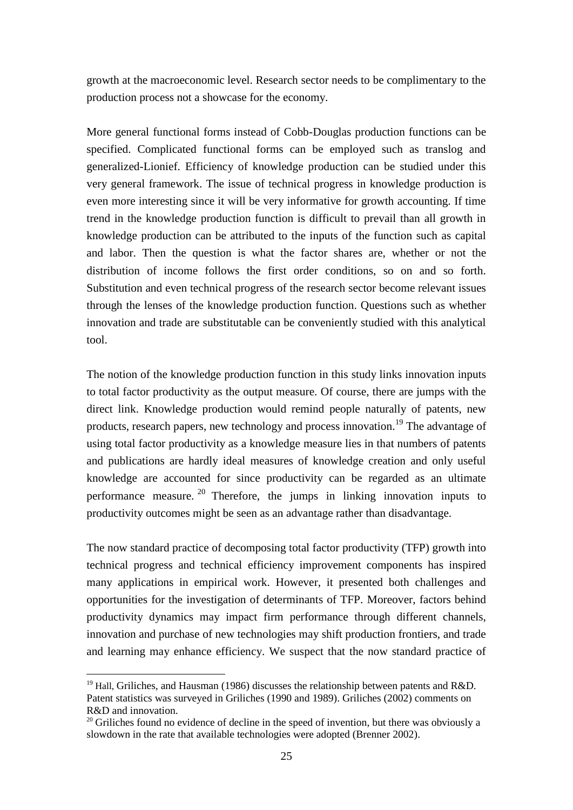growth at the macroeconomic level. Research sector needs to be complimentary to the production process not a showcase for the economy.

More general functional forms instead of Cobb-Douglas production functions can be specified. Complicated functional forms can be employed such as translog and generalized-Lionief. Efficiency of knowledge production can be studied under this very general framework. The issue of technical progress in knowledge production is even more interesting since it will be very informative for growth accounting. If time trend in the knowledge production function is difficult to prevail than all growth in knowledge production can be attributed to the inputs of the function such as capital and labor. Then the question is what the factor shares are, whether or not the distribution of income follows the first order conditions, so on and so forth. Substitution and even technical progress of the research sector become relevant issues through the lenses of the knowledge production function. Questions such as whether innovation and trade are substitutable can be conveniently studied with this analytical tool.

The notion of the knowledge production function in this study links innovation inputs to total factor productivity as the output measure. Of course, there are jumps with the direct link. Knowledge production would remind people naturally of patents, new products, research papers, new technology and process innovation.<sup>19</sup> The advantage of using total factor productivity as a knowledge measure lies in that numbers of patents and publications are hardly ideal measures of knowledge creation and only useful knowledge are accounted for since productivity can be regarded as an ultimate performance measure. <sup>20</sup> Therefore, the jumps in linking innovation inputs to productivity outcomes might be seen as an advantage rather than disadvantage.

The now standard practice of decomposing total factor productivity (TFP) growth into technical progress and technical efficiency improvement components has inspired many applications in empirical work. However, it presented both challenges and opportunities for the investigation of determinants of TFP. Moreover, factors behind productivity dynamics may impact firm performance through different channels, innovation and purchase of new technologies may shift production frontiers, and trade and learning may enhance efficiency. We suspect that the now standard practice of

<sup>&</sup>lt;sup>19</sup> Hall, Griliches, and Hausman (1986) discusses the relationship between patents and R&D. Patent statistics was surveyed in Griliches (1990 and 1989). Griliches (2002) comments on R&D and innovation.

 $20$  Griliches found no evidence of decline in the speed of invention, but there was obviously a slowdown in the rate that available technologies were adopted (Brenner 2002).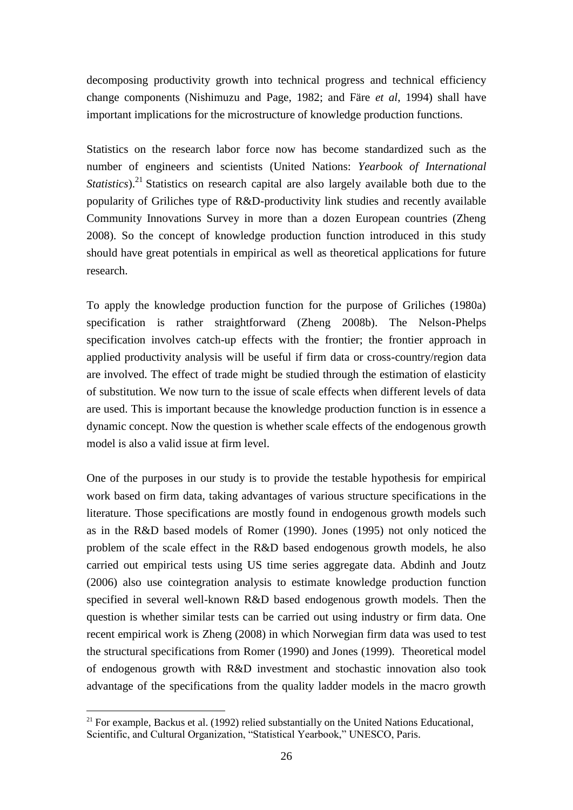decomposing productivity growth into technical progress and technical efficiency change components (Nishimuzu and Page, 1982; and Färe *et al*, 1994) shall have important implications for the microstructure of knowledge production functions.

Statistics on the research labor force now has become standardized such as the number of engineers and scientists (United Nations: *Yearbook of International Statistics*).<sup>21</sup> Statistics on research capital are also largely available both due to the popularity of Griliches type of R&D-productivity link studies and recently available Community Innovations Survey in more than a dozen European countries (Zheng 2008). So the concept of knowledge production function introduced in this study should have great potentials in empirical as well as theoretical applications for future research.

To apply the knowledge production function for the purpose of Griliches (1980a) specification is rather straightforward (Zheng 2008b). The Nelson-Phelps specification involves catch-up effects with the frontier; the frontier approach in applied productivity analysis will be useful if firm data or cross-country/region data are involved. The effect of trade might be studied through the estimation of elasticity of substitution. We now turn to the issue of scale effects when different levels of data are used. This is important because the knowledge production function is in essence a dynamic concept. Now the question is whether scale effects of the endogenous growth model is also a valid issue at firm level.

One of the purposes in our study is to provide the testable hypothesis for empirical work based on firm data, taking advantages of various structure specifications in the literature. Those specifications are mostly found in endogenous growth models such as in the R&D based models of Romer (1990). Jones (1995) not only noticed the problem of the scale effect in the R&D based endogenous growth models, he also carried out empirical tests using US time series aggregate data. Abdinh and Joutz (2006) also use cointegration analysis to estimate knowledge production function specified in several well-known R&D based endogenous growth models. Then the question is whether similar tests can be carried out using industry or firm data. One recent empirical work is Zheng (2008) in which Norwegian firm data was used to test the structural specifications from Romer (1990) and Jones (1999). Theoretical model of endogenous growth with R&D investment and stochastic innovation also took advantage of the specifications from the quality ladder models in the macro growth

 $21$  For example, Backus et al. (1992) relied substantially on the United Nations Educational, Scientific, and Cultural Organization, "Statistical Yearbook," UNESCO, Paris.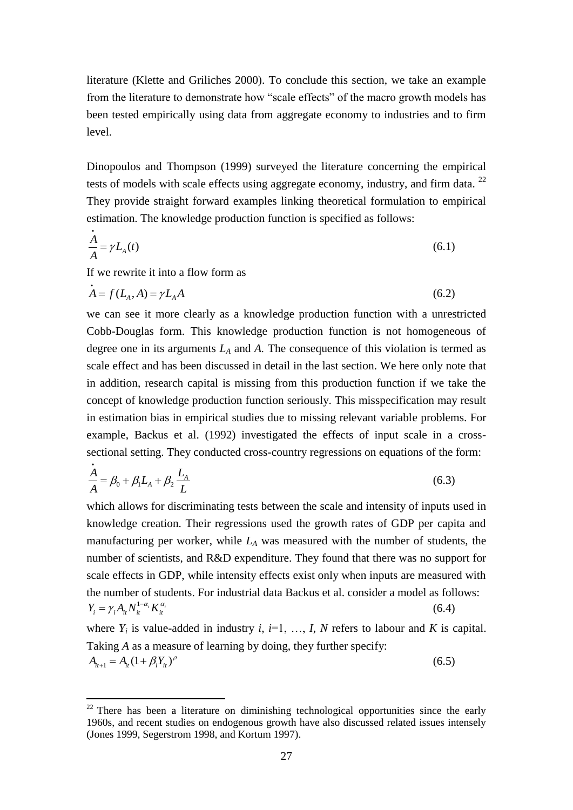literature (Klette and Griliches 2000). To conclude this section, we take an example from the literature to demonstrate how "scale effects" of the macro growth models has been tested empirically using data from aggregate economy to industries and to firm level.

Dinopoulos and Thompson (1999) surveyed the literature concerning the empirical tests of models with scale effects using aggregate economy, industry, and firm data.  $^{22}$ They provide straight forward examples linking theoretical formulation to empirical estimation. The knowledge production function is specified as follows:

$$
\frac{A}{A} = \gamma L_A(t) \tag{6.1}
$$

If we rewrite it into a flow form as

1

$$
A = f(L_A, A) = \gamma L_A A \tag{6.2}
$$

we can see it more clearly as a knowledge production function with a unrestricted Cobb-Douglas form. This knowledge production function is not homogeneous of degree one in its arguments *L<sup>A</sup>* and *A.* The consequence of this violation is termed as scale effect and has been discussed in detail in the last section. We here only note that in addition, research capital is missing from this production function if we take the concept of knowledge production function seriously. This misspecification may result in estimation bias in empirical studies due to missing relevant variable problems. For example, Backus et al. (1992) investigated the effects of input scale in a crosssectional setting. They conducted cross-country regressions on equations of the form:

$$
\frac{A}{A} = \beta_0 + \beta_1 L_A + \beta_2 \frac{L_A}{L}
$$
\n(6.3)

which allows for discriminating tests between the scale and intensity of inputs used in knowledge creation. Their regressions used the growth rates of GDP per capita and manufacturing per worker, while *L<sup>A</sup>* was measured with the number of students, the number of scientists, and R&D expenditure. They found that there was no support for scale effects in GDP, while intensity effects exist only when inputs are measured with the number of students. For industrial data Backus et al. consider a model as follows:  $Y_i = \gamma_i A_{it} N_{it}^{1-\alpha_i} K_{it}^{\alpha_i}$ (6.4)

where  $Y_i$  is value-added in industry *i*,  $i=1, ..., I$ , *N* refers to labour and *K* is capital. Taking *A* as a measure of learning by doing, they further specify:  $A_{it+1} = A_{it} (1 + \beta_i Y_{it})^{\rho}$ (6.5)

 $22$  There has been a literature on diminishing technological opportunities since the early 1960s, and recent studies on endogenous growth have also discussed related issues intensely (Jones 1999, Segerstrom 1998, and Kortum 1997).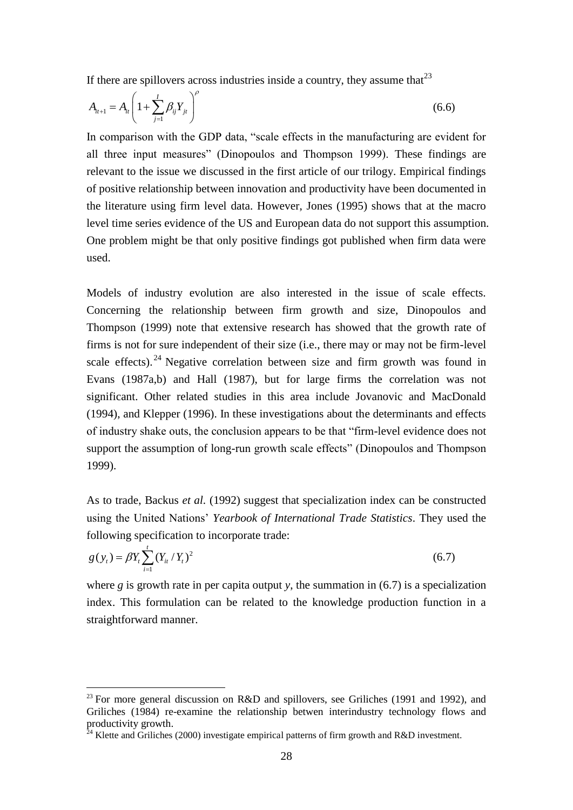If there are spillovers across industries inside a country, they assume that  $2<sup>3</sup>$ 

$$
A_{i t+1} = A_{i t} \left( 1 + \sum_{j=1}^{I} \beta_{i j} Y_{j t} \right)^{\rho}
$$
 (6.6)

In comparison with the GDP data, "scale effects in the manufacturing are evident for all three input measures" (Dinopoulos and Thompson 1999). These findings are relevant to the issue we discussed in the first article of our trilogy. Empirical findings of positive relationship between innovation and productivity have been documented in the literature using firm level data. However, Jones (1995) shows that at the macro level time series evidence of the US and European data do not support this assumption. One problem might be that only positive findings got published when firm data were used.

Models of industry evolution are also interested in the issue of scale effects. Concerning the relationship between firm growth and size, Dinopoulos and Thompson (1999) note that extensive research has showed that the growth rate of firms is not for sure independent of their size (i.e., there may or may not be firm-level scale effects). <sup>24</sup> Negative correlation between size and firm growth was found in Evans (1987a,b) and Hall (1987), but for large firms the correlation was not significant. Other related studies in this area include Jovanovic and MacDonald (1994), and Klepper (1996). In these investigations about the determinants and effects of industry shake outs, the conclusion appears to be that "firm-level evidence does not support the assumption of long-run growth scale effects" (Dinopoulos and Thompson 1999).

As to trade, Backus *et al.* (1992) suggest that specialization index can be constructed using the United Nations' *Yearbook of International Trade Statistics*. They used the following specification to incorporate trade:

$$
g(y_t) = \beta Y_t \sum_{i=1}^t (Y_{it} / Y_t)^2
$$
\n(6.7)

where *g* is growth rate in per capita output *y*, the summation in  $(6.7)$  is a specialization index. This formulation can be related to the knowledge production function in a straightforward manner.

<sup>&</sup>lt;sup>23</sup> For more general discussion on R&D and spillovers, see Griliches (1991 and 1992), and Griliches (1984) re-examine the relationship betwen interindustry technology flows and productivity growth.

 $^{24}$  Klette and Griliches (2000) investigate empirical patterns of firm growth and R&D investment.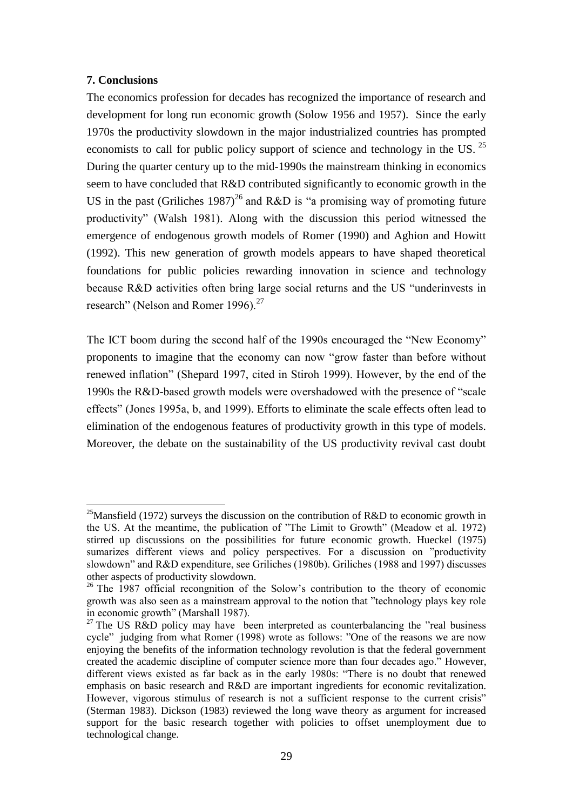# **7. Conclusions**

<u>.</u>

The economics profession for decades has recognized the importance of research and development for long run economic growth (Solow 1956 and 1957). Since the early 1970s the productivity slowdown in the major industrialized countries has prompted economists to call for public policy support of science and technology in the US.<sup>25</sup> During the quarter century up to the mid-1990s the mainstream thinking in economics seem to have concluded that R&D contributed significantly to economic growth in the US in the past (Griliches 1987)<sup>26</sup> and R&D is "a promising way of promoting future productivity" (Walsh 1981). Along with the discussion this period witnessed the emergence of endogenous growth models of Romer (1990) and Aghion and Howitt (1992). This new generation of growth models appears to have shaped theoretical foundations for public policies rewarding innovation in science and technology because R&D activities often bring large social returns and the US "underinvests in research" (Nelson and Romer 1996). $^{27}$ 

The ICT boom during the second half of the 1990s encouraged the "New Economy" proponents to imagine that the economy can now "grow faster than before without renewed inflation" (Shepard 1997, cited in Stiroh 1999). However, by the end of the 1990s the R&D-based growth models were overshadowed with the presence of "scale" effects‖ (Jones 1995a, b, and 1999). Efforts to eliminate the scale effects often lead to elimination of the endogenous features of productivity growth in this type of models. Moreover, the debate on the sustainability of the US productivity revival cast doubt

<sup>&</sup>lt;sup>25</sup>Mansfield (1972) surveys the discussion on the contribution of R&D to economic growth in the US. At the meantime, the publication of "The Limit to Growth" (Meadow et al. 1972) stirred up discussions on the possibilities for future economic growth. Hueckel (1975) sumarizes different views and policy perspectives. For a discussion on "productivity" slowdown" and R&D expenditure, see Griliches (1980b). Griliches (1988 and 1997) discusses other aspects of productivity slowdown.

<sup>&</sup>lt;sup>26</sup> The 1987 official recongnition of the Solow's contribution to the theory of economic growth was also seen as a mainstream approval to the notion that "technology plays key role" in economic growth" (Marshall 1987).

 $27$  The US R&D policy may have been interpreted as counterbalancing the "real business" cycle" judging from what Romer (1998) wrote as follows: "One of the reasons we are now enjoying the benefits of the information technology revolution is that the federal government created the academic discipline of computer science more than four decades ago." However, different views existed as far back as in the early 1980s: "There is no doubt that renewed emphasis on basic research and R&D are important ingredients for economic revitalization. However, vigorous stimulus of research is not a sufficient response to the current crisis" (Sterman 1983). Dickson (1983) reviewed the long wave theory as argument for increased support for the basic research together with policies to offset unemployment due to technological change.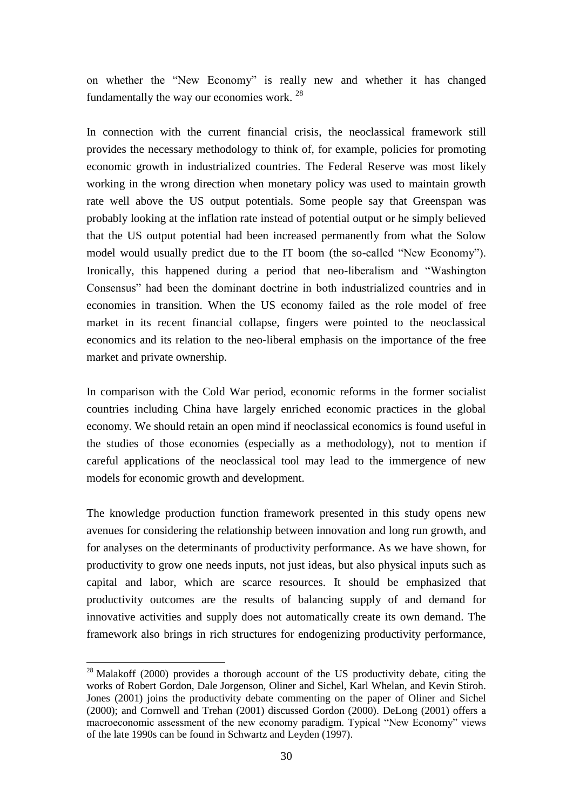on whether the "New Economy" is really new and whether it has changed fundamentally the way our economies work.<sup>28</sup>

In connection with the current financial crisis, the neoclassical framework still provides the necessary methodology to think of, for example, policies for promoting economic growth in industrialized countries. The Federal Reserve was most likely working in the wrong direction when monetary policy was used to maintain growth rate well above the US output potentials. Some people say that Greenspan was probably looking at the inflation rate instead of potential output or he simply believed that the US output potential had been increased permanently from what the Solow model would usually predict due to the IT boom (the so-called "New Economy"). Ironically, this happened during a period that neo-liberalism and "Washington" Consensus‖ had been the dominant doctrine in both industrialized countries and in economies in transition. When the US economy failed as the role model of free market in its recent financial collapse, fingers were pointed to the neoclassical economics and its relation to the neo-liberal emphasis on the importance of the free market and private ownership.

In comparison with the Cold War period, economic reforms in the former socialist countries including China have largely enriched economic practices in the global economy. We should retain an open mind if neoclassical economics is found useful in the studies of those economies (especially as a methodology), not to mention if careful applications of the neoclassical tool may lead to the immergence of new models for economic growth and development.

The knowledge production function framework presented in this study opens new avenues for considering the relationship between innovation and long run growth, and for analyses on the determinants of productivity performance. As we have shown, for productivity to grow one needs inputs, not just ideas, but also physical inputs such as capital and labor, which are scarce resources. It should be emphasized that productivity outcomes are the results of balancing supply of and demand for innovative activities and supply does not automatically create its own demand. The framework also brings in rich structures for endogenizing productivity performance,

 $^{28}$  Malakoff (2000) provides a thorough account of the US productivity debate, citing the works of Robert Gordon, Dale Jorgenson, Oliner and Sichel, Karl Whelan, and Kevin Stiroh. Jones (2001) joins the productivity debate commenting on the paper of Oliner and Sichel (2000); and Cornwell and Trehan (2001) discussed Gordon (2000). DeLong (2001) offers a macroeconomic assessment of the new economy paradigm. Typical "New Economy" views of the late 1990s can be found in Schwartz and Leyden (1997).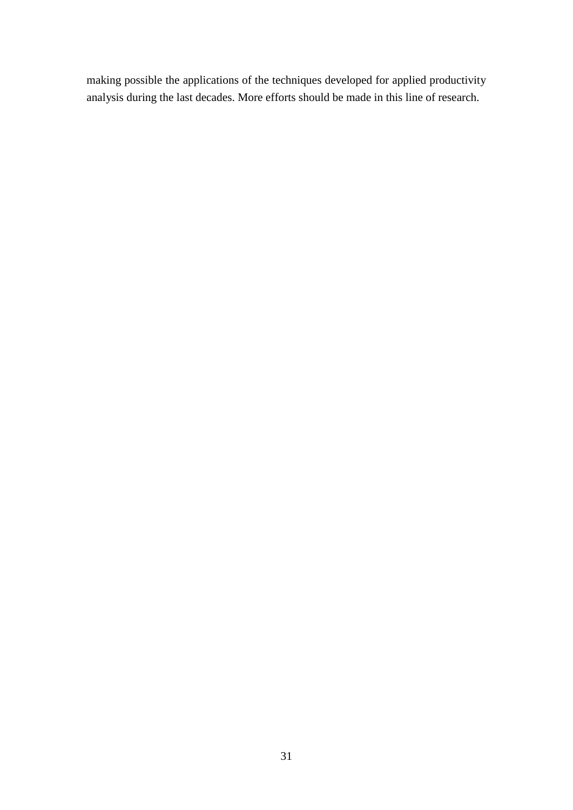making possible the applications of the techniques developed for applied productivity analysis during the last decades. More efforts should be made in this line of research.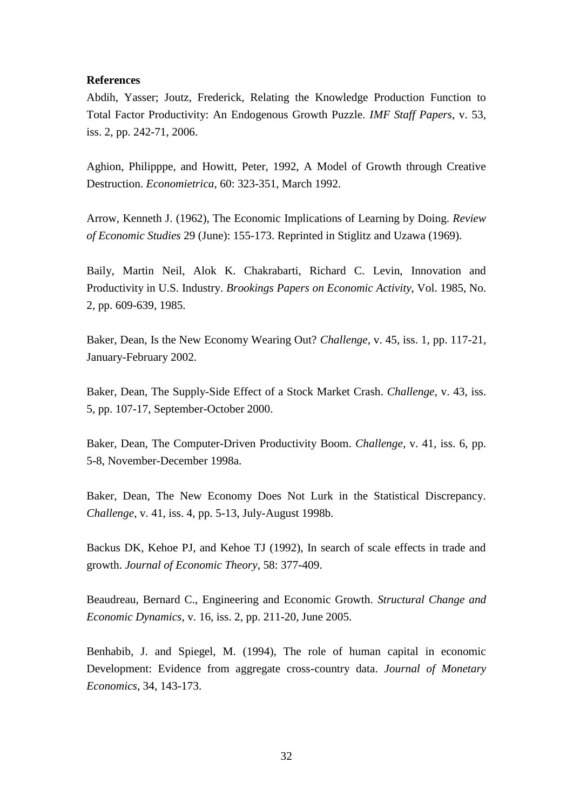#### **References**

Abdih, Yasser; Joutz, Frederick, Relating the Knowledge Production Function to Total Factor Productivity: An Endogenous Growth Puzzle. *IMF Staff Papers*, v. 53, iss. 2, pp. 242-71, 2006.

Aghion, Philipppe, and Howitt, Peter, 1992, A Model of Growth through Creative Destruction. *Economietrica*, 60: 323-351, March 1992.

Arrow, Kenneth J. (1962), The Economic Implications of Learning by Doing. *Review of Economic Studies* 29 (June): 155-173. Reprinted in Stiglitz and Uzawa (1969).

Baily, Martin Neil, Alok K. Chakrabarti, Richard C. Levin, Innovation and Productivity in U.S. Industry. *Brookings Papers on Economic Activity*, Vol. 1985, No. 2, pp. 609-639, 1985.

Baker, Dean, Is the New Economy Wearing Out? *Challenge*, v. 45, iss. 1, pp. 117-21, January-February 2002.

Baker, Dean, The Supply-Side Effect of a Stock Market Crash. *Challenge*, v. 43, iss. 5, pp. 107-17, September-October 2000.

Baker, Dean, The Computer-Driven Productivity Boom. *Challenge*, v. 41, iss. 6, pp. 5-8, November-December 1998a.

Baker, Dean, The New Economy Does Not Lurk in the Statistical Discrepancy. *Challenge*, v. 41, iss. 4, pp. 5-13, July-August 1998b.

Backus DK, Kehoe PJ, and Kehoe TJ (1992), In search of scale effects in trade and growth. *Journal of Economic Theory*, 58: 377-409.

Beaudreau, Bernard C., Engineering and Economic Growth. *Structural Change and Economic Dynamics*, v. 16, iss. 2, pp. 211-20, June 2005.

Benhabib, J. and Spiegel, M. (1994), The role of human capital in economic Development: Evidence from aggregate cross-country data. *Journal of Monetary Economics*, 34, 143-173.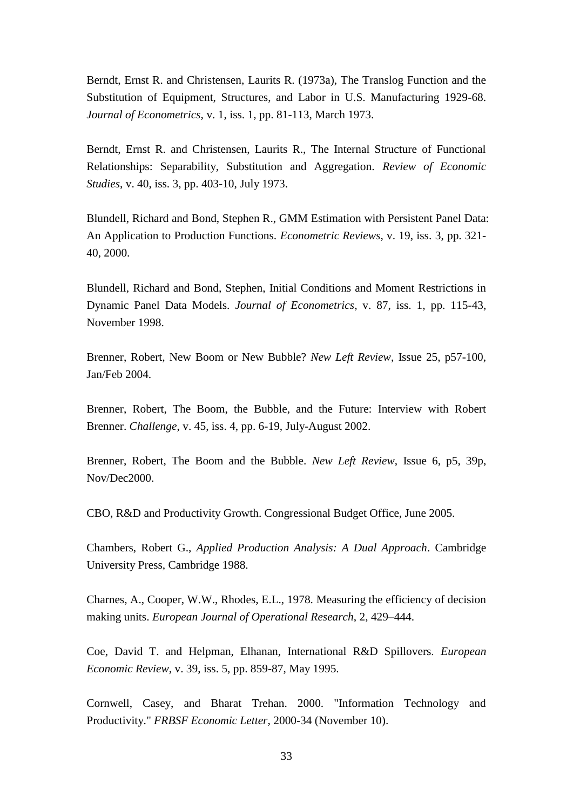Berndt, Ernst R. and Christensen, Laurits R. (1973a), The Translog Function and the Substitution of Equipment, Structures, and Labor in U.S. Manufacturing 1929-68. *Journal of Econometrics*, v. 1, iss. 1, pp. 81-113, March 1973.

Berndt, Ernst R. and Christensen, Laurits R., The Internal Structure of Functional Relationships: Separability, Substitution and Aggregation. *Review of Economic Studies*, v. 40, iss. 3, pp. 403-10, July 1973.

Blundell, Richard and Bond, Stephen R., GMM Estimation with Persistent Panel Data: An Application to Production Functions. *Econometric Reviews*, v. 19, iss. 3, pp. 321- 40, 2000.

Blundell, Richard and Bond, Stephen, Initial Conditions and Moment Restrictions in Dynamic Panel Data Models. *Journal of Econometrics*, v. 87, iss. 1, pp. 115-43, November 1998.

Brenner, Robert, New Boom or New Bubble? *New Left Review*, Issue 25, p57-100, Jan/Feb 2004.

Brenner, Robert, The Boom, the Bubble, and the Future: Interview with Robert Brenner. *Challenge*, v. 45, iss. 4, pp. 6-19, July-August 2002.

Brenner, Robert, The Boom and the Bubble. *New Left Review*, Issue 6, p5, 39p, Nov/Dec2000.

CBO, R&D and Productivity Growth. Congressional Budget Office, June 2005.

Chambers, Robert G., *Applied Production Analysis: A Dual Approach*. Cambridge University Press, Cambridge 1988.

Charnes, A., Cooper, W.W., Rhodes, E.L., 1978. Measuring the efficiency of decision making units. *European Journal of Operational Research*, 2, 429–444.

Coe, David T. and Helpman, Elhanan, International R&D Spillovers. *European Economic Review*, v. 39, iss. 5, pp. 859-87, May 1995.

Cornwell, Casey, and Bharat Trehan. 2000. "Information Technology and Productivity." *FRBSF Economic Letter*, 2000-34 (November 10).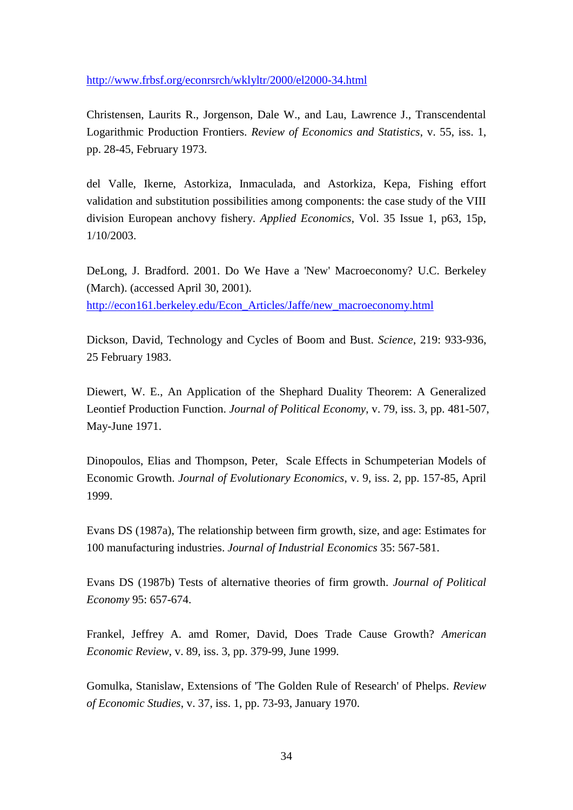<http://www.frbsf.org/econrsrch/wklyltr/2000/el2000-34.html>

Christensen, Laurits R., Jorgenson, Dale W., and Lau, Lawrence J., Transcendental Logarithmic Production Frontiers. *Review of Economics and Statistics*, v. 55, iss. 1, pp. 28-45, February 1973.

del Valle, Ikerne, Astorkiza, Inmaculada, and Astorkiza, Kepa, Fishing effort validation and substitution possibilities among components: the case study of the VIII division European anchovy fishery. *Applied Economics*, Vol. 35 Issue 1, p63, 15p, 1/10/2003.

DeLong, J. Bradford. 2001. Do We Have a 'New' Macroeconomy? U.C. Berkeley (March). (accessed April 30, 2001). [http://econ161.berkeley.edu/Econ\\_Articles/Jaffe/new\\_macroeconomy.html](http://econ161.berkeley.edu/Econ_Articles/Jaffe/new_macroeconomy.html)

Dickson, David, Technology and Cycles of Boom and Bust. *Science*, 219: 933-936, 25 February 1983.

Diewert, W. E., An Application of the Shephard Duality Theorem: A Generalized Leontief Production Function. *Journal of Political Economy*, v. 79, iss. 3, pp. 481-507, May-June 1971.

Dinopoulos, Elias and Thompson, Peter, Scale Effects in Schumpeterian Models of Economic Growth. *Journal of Evolutionary Economics*, v. 9, iss. 2, pp. 157-85, April 1999.

Evans DS (1987a), The relationship between firm growth, size, and age: Estimates for 100 manufacturing industries. *Journal of Industrial Economics* 35: 567-581.

Evans DS (1987b) Tests of alternative theories of firm growth. *Journal of Political Economy* 95: 657-674.

Frankel, Jeffrey A. amd Romer, David, Does Trade Cause Growth? *American Economic Review*, v. 89, iss. 3, pp. 379-99, June 1999.

Gomulka, Stanislaw, Extensions of 'The Golden Rule of Research' of Phelps. *Review of Economic Studies*, v. 37, iss. 1, pp. 73-93, January 1970.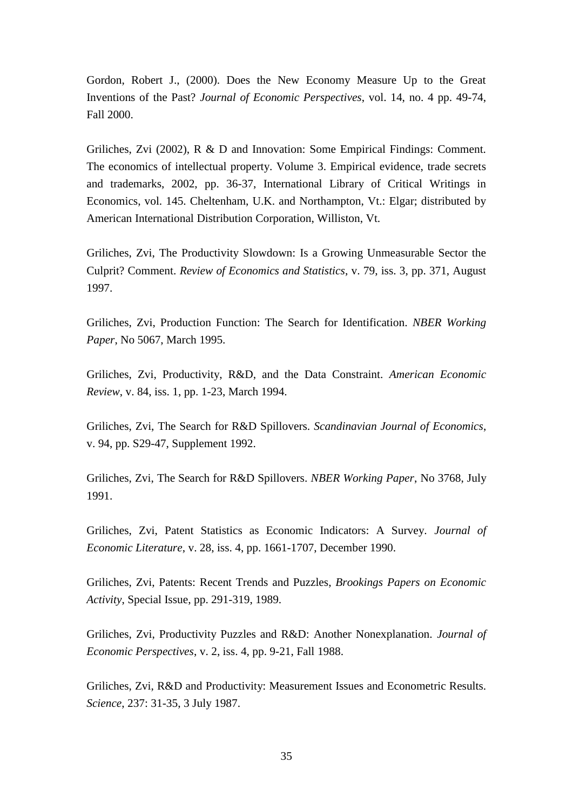Gordon, Robert J., (2000). Does the New Economy Measure Up to the Great Inventions of the Past? *Journal of Economic Perspectives*, vol. 14, no. 4 pp. 49-74, Fall 2000.

Griliches, Zvi (2002), R & D and Innovation: Some Empirical Findings: Comment. The economics of intellectual property. Volume 3. Empirical evidence, trade secrets and trademarks, 2002, pp. 36-37, International Library of Critical Writings in Economics, vol. 145. Cheltenham, U.K. and Northampton, Vt.: Elgar; distributed by American International Distribution Corporation, Williston, Vt.

Griliches, Zvi, The Productivity Slowdown: Is a Growing Unmeasurable Sector the Culprit? Comment. *Review of Economics and Statistics*, v. 79, iss. 3, pp. 371, August 1997.

Griliches, Zvi, Production Function: The Search for Identification. *NBER Working Paper*, No 5067, March 1995.

Griliches, Zvi, Productivity, R&D, and the Data Constraint. *American Economic Review*, v. 84, iss. 1, pp. 1-23, March 1994.

Griliches, Zvi, The Search for R&D Spillovers. *Scandinavian Journal of Economics*, v. 94, pp. S29-47, Supplement 1992.

Griliches, Zvi, The Search for R&D Spillovers. *NBER Working Paper*, No 3768, July 1991.

Griliches, Zvi, Patent Statistics as Economic Indicators: A Survey. *Journal of Economic Literature*, v. 28, iss. 4, pp. 1661-1707, December 1990.

Griliches, Zvi, Patents: Recent Trends and Puzzles, *Brookings Papers on Economic Activity*, Special Issue, pp. 291-319, 1989.

Griliches, Zvi, Productivity Puzzles and R&D: Another Nonexplanation. *Journal of Economic Perspectives*, v. 2, iss. 4, pp. 9-21, Fall 1988.

Griliches, Zvi, R&D and Productivity: Measurement Issues and Econometric Results. *Science*, 237: 31-35, 3 July 1987.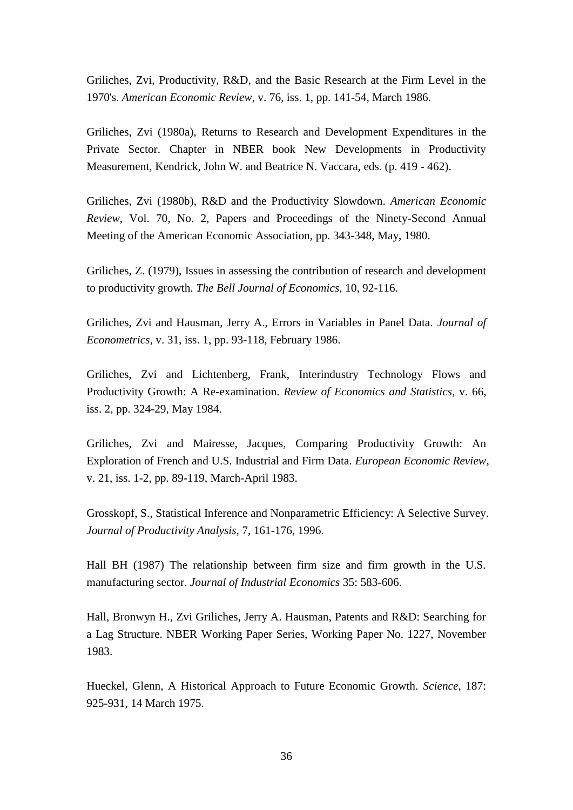Griliches, Zvi, Productivity, R&D, and the Basic Research at the Firm Level in the 1970's. *American Economic Review*, v. 76, iss. 1, pp. 141-54, March 1986.

Griliches, Zvi (1980a), Returns to Research and Development Expenditures in the Private Sector. Chapter in NBER book New Developments in Productivity Measurement, Kendrick, John W. and Beatrice N. Vaccara, eds. (p. 419 - 462).

Griliches, Zvi (1980b), R&D and the Productivity Slowdown. *American Economic Review*, Vol. 70, No. 2, Papers and Proceedings of the Ninety-Second Annual Meeting of the American Economic Association, pp. 343-348, May, 1980.

Griliches, Z. (1979), Issues in assessing the contribution of research and development to productivity growth. *The Bell Journal of Economics*, 10, 92-116.

Griliches, Zvi and Hausman, Jerry A., Errors in Variables in Panel Data. *Journal of Econometrics*, v. 31, iss. 1, pp. 93-118, February 1986.

Griliches, Zvi and Lichtenberg, Frank, Interindustry Technology Flows and Productivity Growth: A Re-examination. *Review of Economics and Statistics*, v. 66, iss. 2, pp. 324-29, May 1984.

Griliches, Zvi and Mairesse, Jacques, Comparing Productivity Growth: An Exploration of French and U.S. Industrial and Firm Data. *European Economic Review*, v. 21, iss. 1-2, pp. 89-119, March-April 1983.

Grosskopf, S., Statistical Inference and Nonparametric Efficiency: A Selective Survey*. Journal of Productivity Analysis*, 7, 161-176, 1996.

Hall BH (1987) The relationship between firm size and firm growth in the U.S. manufacturing sector. *Journal of Industrial Economics* 35: 583-606.

Hall, Bronwyn H., Zvi Griliches, Jerry A. Hausman, Patents and R&D: Searching for a Lag Structure. NBER Working Paper Series, Working Paper No. 1227, November 1983.

Hueckel, Glenn, A Historical Approach to Future Economic Growth. *Science*, 187: 925-931, 14 March 1975.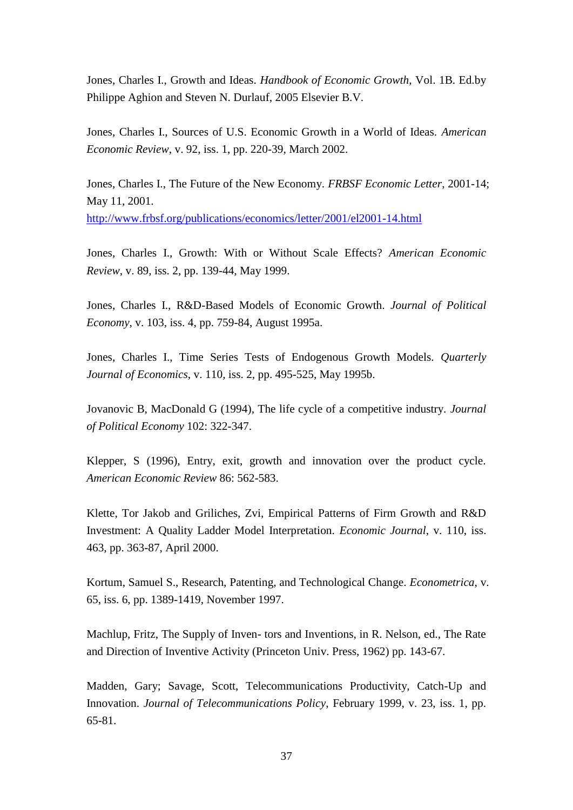Jones, Charles I., Growth and Ideas. *Handbook of Economic Growth*, Vol. 1B. Ed.by Philippe Aghion and Steven N. Durlauf, 2005 Elsevier B.V.

Jones, Charles I., Sources of U.S. Economic Growth in a World of Ideas. *American Economic Review*, v. 92, iss. 1, pp. 220-39, March 2002.

Jones, Charles I., The Future of the New Economy. *FRBSF Economic Letter*, 2001-14; May 11, 2001.

<http://www.frbsf.org/publications/economics/letter/2001/el2001-14.html>

Jones, Charles I., Growth: With or Without Scale Effects? *American Economic Review*, v. 89, iss. 2, pp. 139-44, May 1999.

Jones, Charles I., R&D-Based Models of Economic Growth. *Journal of Political Economy*, v. 103, iss. 4, pp. 759-84, August 1995a.

Jones, Charles I., Time Series Tests of Endogenous Growth Models. *Quarterly Journal of Economics*, v. 110, iss. 2, pp. 495-525, May 1995b.

Jovanovic B, MacDonald G (1994), The life cycle of a competitive industry. *Journal of Political Economy* 102: 322-347.

Klepper, S (1996), Entry, exit, growth and innovation over the product cycle. *American Economic Review* 86: 562-583.

Klette, Tor Jakob and Griliches, Zvi, Empirical Patterns of Firm Growth and R&D Investment: A Quality Ladder Model Interpretation. *Economic Journal*, v. 110, iss. 463, pp. 363-87, April 2000.

Kortum, Samuel S., Research, Patenting, and Technological Change. *Econometrica*, v. 65, iss. 6, pp. 1389-1419, November 1997.

Machlup, Fritz, The Supply of Inven- tors and Inventions, in R. Nelson, ed., The Rate and Direction of Inventive Activity (Princeton Univ. Press, 1962) pp. 143-67.

Madden, Gary; Savage, Scott, Telecommunications Productivity, Catch-Up and Innovation. *Journal of Telecommunications Policy*, February 1999, v. 23, iss. 1, pp. 65-81.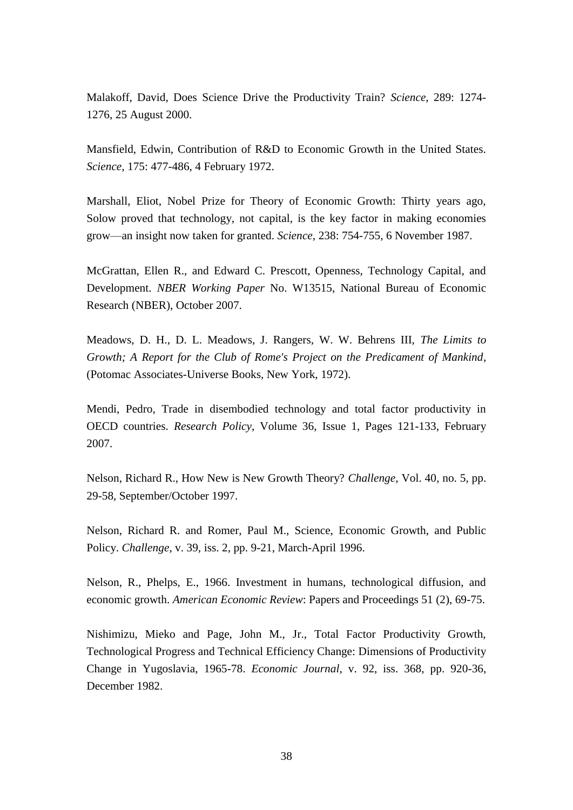Malakoff, David, Does Science Drive the Productivity Train? *Science*, 289: 1274- 1276, 25 August 2000.

Mansfield, Edwin, Contribution of R&D to Economic Growth in the United States. *Science*, 175: 477-486, 4 February 1972.

Marshall, Eliot, Nobel Prize for Theory of Economic Growth: Thirty years ago, Solow proved that technology, not capital, is the key factor in making economies grow—an insight now taken for granted. *Science*, 238: 754-755, 6 November 1987.

McGrattan, Ellen R., and Edward C. Prescott, Openness, Technology Capital, and Development. *NBER Working Paper* No. W13515, National Bureau of Economic Research (NBER), October 2007.

Meadows, D. H., D. L. Meadows, J. Rangers, W. W. Behrens III, *The Limits to Growth; A Report for the Club of Rome's Project on the Predicament of Mankind*, (Potomac Associates-Universe Books, New York, 1972).

Mendi, Pedro, Trade in disembodied technology and total factor productivity in OECD countries. *Research Policy*, Volume 36, Issue 1, Pages 121-133, February 2007.

Nelson, Richard R., How New is New Growth Theory? *Challenge*, Vol. 40, no. 5, pp. 29-58, September/October 1997.

Nelson, Richard R. and Romer, Paul M., Science, Economic Growth, and Public Policy. *Challenge*, v. 39, iss. 2, pp. 9-21, March-April 1996.

Nelson, R., Phelps, E., 1966. Investment in humans, technological diffusion, and economic growth. *American Economic Review*: Papers and Proceedings 51 (2), 69-75.

Nishimizu, Mieko and Page, John M., Jr., Total Factor Productivity Growth, Technological Progress and Technical Efficiency Change: Dimensions of Productivity Change in Yugoslavia, 1965-78. *Economic Journal*, v. 92, iss. 368, pp. 920-36, December 1982.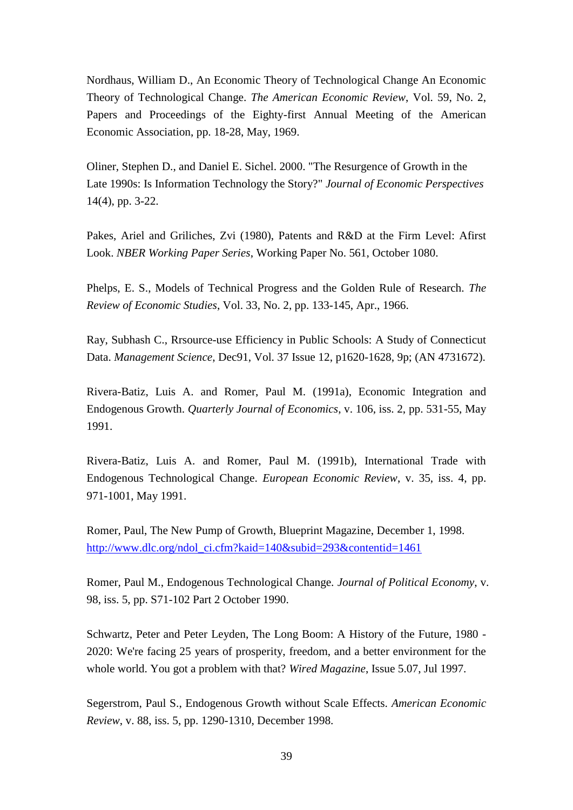Nordhaus, William D., An Economic Theory of Technological Change An Economic Theory of Technological Change. *The American Economic Review*, Vol. 59, No. 2, Papers and Proceedings of the Eighty-first Annual Meeting of the American Economic Association, pp. 18-28, May, 1969.

Oliner, Stephen D., and Daniel E. Sichel. 2000. "The Resurgence of Growth in the Late 1990s: Is Information Technology the Story?" *Journal of Economic Perspectives* 14(4), pp. 3-22.

Pakes, Ariel and Griliches, Zvi (1980), Patents and R&D at the Firm Level: Afirst Look. *NBER Working Paper Series*, Working Paper No. 561, October 1080.

Phelps, E. S., Models of Technical Progress and the Golden Rule of Research. *The Review of Economic Studies*, Vol. 33, No. 2, pp. 133-145, Apr., 1966.

Ray, Subhash C., Rrsource-use Efficiency in Public Schools: A Study of Connecticut Data. *Management Science*, Dec91, Vol. 37 Issue 12, p1620-1628, 9p; (AN 4731672).

Rivera-Batiz, Luis A. and Romer, Paul M. (1991a), Economic Integration and Endogenous Growth. *Quarterly Journal of Economics*, v. 106, iss. 2, pp. 531-55, May 1991.

Rivera-Batiz, Luis A. and Romer, Paul M. (1991b), International Trade with Endogenous Technological Change. *European Economic Review*, v. 35, iss. 4, pp. 971-1001, May 1991.

Romer, Paul, The New Pump of Growth, Blueprint Magazine, December 1, 1998. [http://www.dlc.org/ndol\\_ci.cfm?kaid=140&subid=293&contentid=1461](http://www.dlc.org/ndol_ci.cfm?kaid=140&subid=293&contentid=1461)

Romer, Paul M., Endogenous Technological Change. *Journal of Political Economy*, v. 98, iss. 5, pp. S71-102 Part 2 October 1990.

Schwartz, Peter and Peter Leyden, The Long Boom: A History of the Future, 1980 - 2020: We're facing 25 years of prosperity, freedom, and a better environment for the whole world. You got a problem with that? *Wired Magazine*, Issue 5.07, Jul 1997.

Segerstrom, Paul S., Endogenous Growth without Scale Effects. *American Economic Review*, v. 88, iss. 5, pp. 1290-1310, December 1998.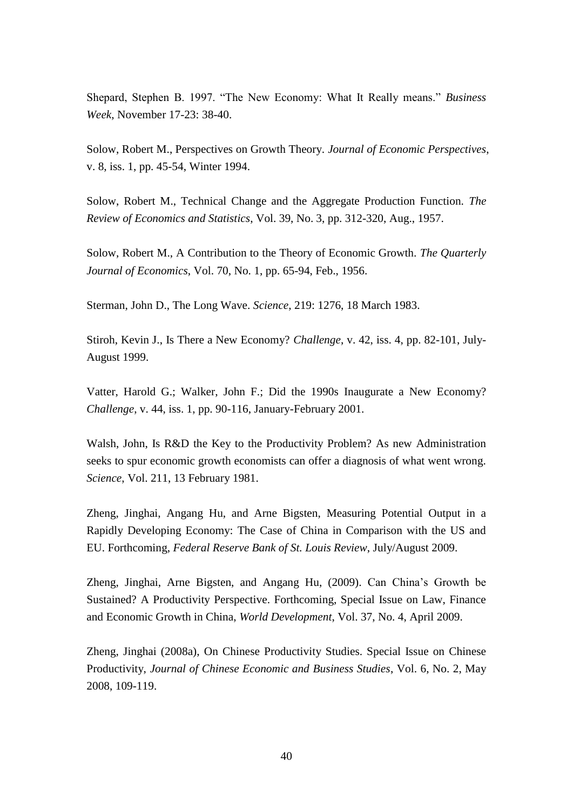Shepard, Stephen B. 1997. "The New Economy: What It Really means." *Business Week*, November 17-23: 38-40.

Solow, Robert M., Perspectives on Growth Theory. *Journal of Economic Perspectives*, v. 8, iss. 1, pp. 45-54, Winter 1994.

Solow, Robert M., Technical Change and the Aggregate Production Function. *The Review of Economics and Statistics*, Vol. 39, No. 3, pp. 312-320, Aug., 1957.

Solow, Robert M., A Contribution to the Theory of Economic Growth. *The Quarterly Journal of Economics*, Vol. 70, No. 1, pp. 65-94, Feb., 1956.

Sterman, John D., The Long Wave. *Science*, 219: 1276, 18 March 1983.

Stiroh, Kevin J., Is There a New Economy? *Challenge*, v. 42, iss. 4, pp. 82-101, July-August 1999.

Vatter, Harold G.; Walker, John F.; Did the 1990s Inaugurate a New Economy? *Challenge*, v. 44, iss. 1, pp. 90-116, January-February 2001.

Walsh, John, Is R&D the Key to the Productivity Problem? As new Administration seeks to spur economic growth economists can offer a diagnosis of what went wrong. *Science*, Vol. 211, 13 February 1981.

Zheng, Jinghai, Angang Hu, and Arne Bigsten, Measuring Potential Output in a Rapidly Developing Economy: The Case of China in Comparison with the US and EU. Forthcoming, *Federal Reserve Bank of St. Louis Review*, July/August 2009.

Zheng, Jinghai, Arne Bigsten, and Angang Hu, (2009). Can China's Growth be Sustained? A Productivity Perspective. Forthcoming, Special Issue on Law, Finance and Economic Growth in China, *World Development*, Vol. 37, No. 4, April 2009.

Zheng, Jinghai (2008a), On Chinese Productivity Studies. Special Issue on Chinese Productivity, *Journal of Chinese Economic and Business Studies*, Vol. 6, No. 2, May 2008, 109-119.